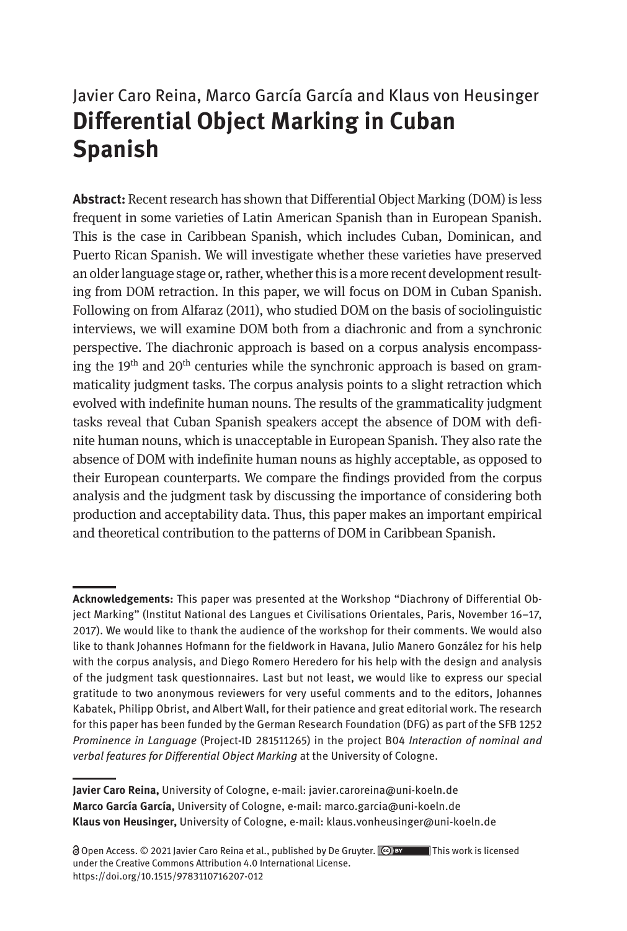# Javier Caro Reina, Marco García García and Klaus von Heusinger **Differential Object Marking in Cuban Spanish**

**Abstract:** Recent research has shown that Differential Object Marking (DOM) is less frequent in some varieties of Latin American Spanish than in European Spanish. This is the case in Caribbean Spanish, which includes Cuban, Dominican, and Puerto Rican Spanish. We will investigate whether these varieties have preserved an older language stage or, rather, whether this is a more recent development resulting from DOM retraction. In this paper, we will focus on DOM in Cuban Spanish. Following on from Alfaraz (2011), who studied DOM on the basis of sociolinguistic interviews, we will examine DOM both from a diachronic and from a synchronic perspective. The diachronic approach is based on a corpus analysis encompassing the  $19<sup>th</sup>$  and  $20<sup>th</sup>$  centuries while the synchronic approach is based on grammaticality judgment tasks. The corpus analysis points to a slight retraction which evolved with indefinite human nouns. The results of the grammaticality judgment tasks reveal that Cuban Spanish speakers accept the absence of DOM with definite human nouns, which is unacceptable in European Spanish. They also rate the absence of DOM with indefinite human nouns as highly acceptable, as opposed to their European counterparts. We compare the findings provided from the corpus analysis and the judgment task by discussing the importance of considering both production and acceptability data. Thus, this paper makes an important empirical and theoretical contribution to the patterns of DOM in Caribbean Spanish.

**Javier Caro Reina,** University of Cologne, e-mail: javier.caroreina@uni-koeln.de **Marco García García,** University of Cologne, e-mail: marco.garcia@uni-koeln.de **Klaus von Heusinger,** University of Cologne, e-mail: klaus.vonheusinger@uni-koeln.de

**Acknowledgements:** This paper was presented at the Workshop "Diachrony of Differential Object Marking" (Institut National des Langues et Civilisations Orientales, Paris, November 16-17, 2017). We would like to thank the audience of the workshop for their comments. We would also like to thank Johannes Hofmann for the fieldwork in Havana, Julio Manero González for his help with the corpus analysis, and Diego Romero Heredero for his help with the design and analysis of the judgment task questionnaires. Last but not least, we would like to express our special gratitude to two anonymous reviewers for very useful comments and to the editors, Johannes Kabatek, Philipp Obrist, and Albert Wall, for their patience and great editorial work. The research for this paper has been funded by the German Research Foundation (DFG) as part of the SFB 1252 *Prominence in Language* (Project-ID 281511265) in the project B04 *Interaction of nominal and verbal features for Differential Object Marking* at the University of Cologne.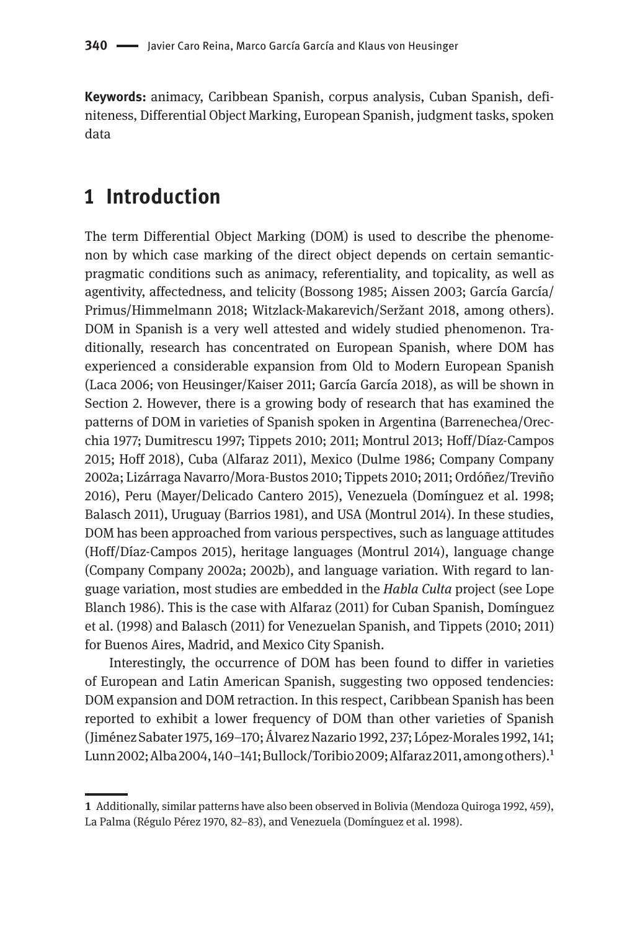**Keywords:** animacy, Caribbean Spanish, corpus analysis, Cuban Spanish, definiteness, Differential Object Marking, European Spanish, judgment tasks, spoken data

### **1 Introduction**

The term Differential Object Marking (DOM) is used to describe the phenomenon by which case marking of the direct object depends on certain semanticpragmatic conditions such as animacy, referentiality, and topicality, as well as agentivity, affectedness, and telicity (Bossong 1985; Aissen 2003; García García/ Primus/Himmelmann 2018; Witzlack-Makarevich/Seržant 2018, among others). DOM in Spanish is a very well attested and widely studied phenomenon. Traditionally, research has concentrated on European Spanish, where DOM has experienced a considerable expansion from Old to Modern European Spanish (Laca 2006; von Heusinger/Kaiser 2011; García García 2018), as will be shown in Section 2. However, there is a growing body of research that has examined the patterns of DOM in varieties of Spanish spoken in Argentina (Barrenechea/Orecchia 1977; Dumitrescu 1997; Tippets 2010; 2011; Montrul 2013; Hoff/Díaz-Campos 2015; Hoff 2018), Cuba (Alfaraz 2011), Mexico (Dulme 1986; Company Company 2002a; Lizárraga Navarro/Mora-Bustos 2010; Tippets 2010; 2011; Ordóñez/Treviño 2016), Peru (Mayer/Delicado Cantero 2015), Venezuela (Domínguez et al. 1998; Balasch 2011), Uruguay (Barrios 1981), and USA (Montrul 2014). In these studies, DOM has been approached from various perspectives, such as language attitudes (Hoff/Díaz-Campos 2015), heritage languages (Montrul 2014), language change (Company Company 2002a; 2002b), and language variation. With regard to language variation, most studies are embedded in the *Habla Culta* project (see Lope Blanch 1986). This is the case with Alfaraz (2011) for Cuban Spanish, Domínguez et al. (1998) and Balasch (2011) for Venezuelan Spanish, and Tippets (2010; 2011) for Buenos Aires, Madrid, and Mexico City Spanish.

Interestingly, the occurrence of DOM has been found to differ in varieties of European and Latin American Spanish, suggesting two opposed tendencies: DOM expansion and DOM retraction. In this respect, Caribbean Spanish has been reported to exhibit a lower frequency of DOM than other varieties of Spanish (Jiménez Sabater 1975, 169–170; Álvarez Nazario 1992, 237; López-Morales 1992, 141; Lunn 2002; Alba 2004, 140-141; Bullock/Toribio 2009; Alfaraz 2011, among others).<sup>1</sup>

**<sup>1</sup>** Additionally, similar patterns have also been observed in Bolivia (Mendoza Quiroga 1992, 459), La Palma (Régulo Pérez 1970, 82–83), and Venezuela (Domínguez et al. 1998).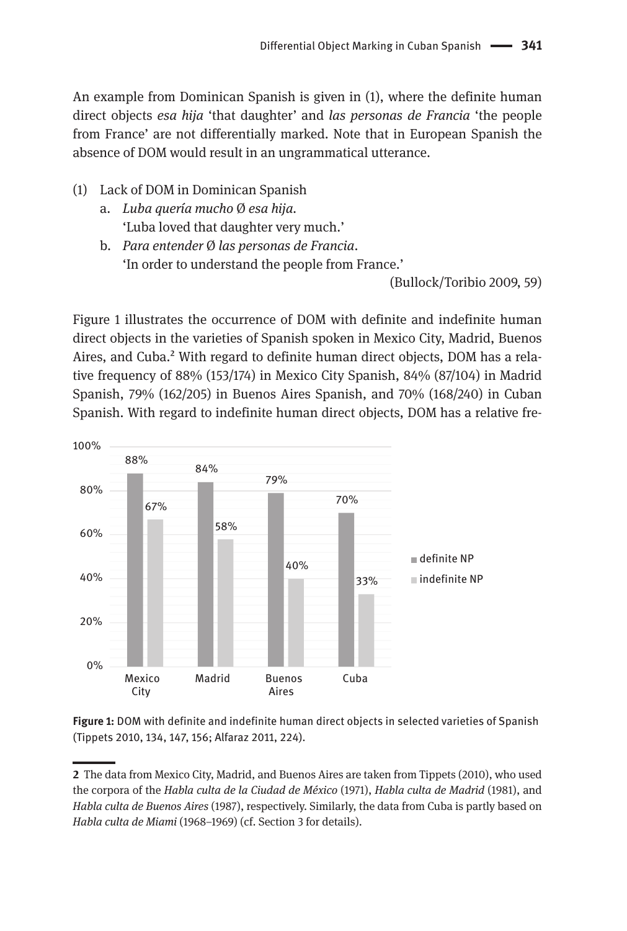An example from Dominican Spanish is given in (1), where the definite human direct objects *esa hija* 'that daughter' and *las personas de Francia* 'the people from France' are not differentially marked. Note that in European Spanish the absence of DOM would result in an ungrammatical utterance.

- (1) Lack of DOM in Dominican Spanish
	- a. *Luba quería mucho* Ø *esa hija.* 'Luba loved that daughter very much.'
	- b. *Para entender* Ø *las personas de Francia*. 'In order to understand the people from France.'

Figure 1 illustrates the occurrence of DOM with definite and indefinite human direct objects in the varieties of Spanish spoken in Mexico City, Madrid, Buenos Aires, and Cuba.<sup>2</sup> With regard to definite human direct objects, DOM has a relative frequency of 88% (153/174) in Mexico City Spanish, 84% (87/104) in Madrid Spanish, 79% (162/205) in Buenos Aires Spanish, and 70% (168/240) in Cuban Spanish. With regard to indefinite human direct objects, DOM has a relative fre-



**Figure 1:** DOM with definite and indefinite human direct objects in selected varieties of Spanish (Tippets 2010, 134, 147, 156; Alfaraz 2011, 224).

<sup>(</sup>Bullock/Toribio 2009, 59)

**<sup>2</sup>** The data from Mexico City, Madrid, and Buenos Aires are taken from Tippets (2010), who used the corpora of the *Habla culta de la Ciudad de México* (1971), *Habla culta de Madrid* (1981), and *Habla culta de Buenos Aires* (1987), respectively. Similarly, the data from Cuba is partly based on *Habla culta de Miami* (1968–1969) (cf. Section 3 for details).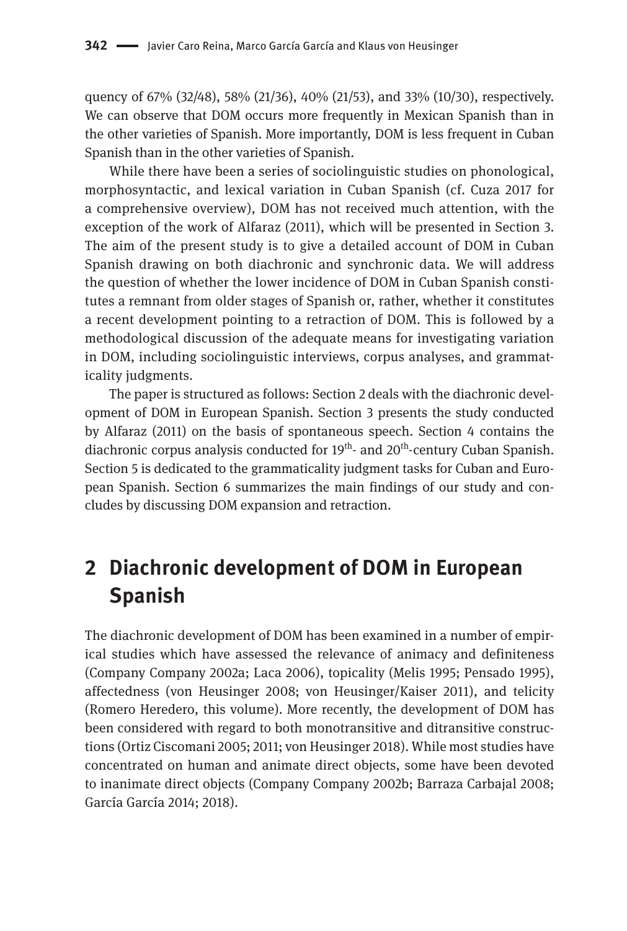quency of 67% (32/48), 58% (21/36), 40% (21/53), and 33% (10/30), respectively. We can observe that DOM occurs more frequently in Mexican Spanish than in the other varieties of Spanish. More importantly, DOM is less frequent in Cuban Spanish than in the other varieties of Spanish.

While there have been a series of sociolinguistic studies on phonological, morphosyntactic, and lexical variation in Cuban Spanish (cf. Cuza 2017 for a comprehensive overview), DOM has not received much attention, with the exception of the work of Alfaraz (2011), which will be presented in Section 3. The aim of the present study is to give a detailed account of DOM in Cuban Spanish drawing on both diachronic and synchronic data. We will address the question of whether the lower incidence of DOM in Cuban Spanish constitutes a remnant from older stages of Spanish or, rather, whether it constitutes a recent development pointing to a retraction of DOM. This is followed by a methodological discussion of the adequate means for investigating variation in DOM, including sociolinguistic interviews, corpus analyses, and grammaticality judgments.

The paper is structured as follows: Section 2 deals with the diachronic development of DOM in European Spanish. Section 3 presents the study conducted by Alfaraz (2011) on the basis of spontaneous speech. Section 4 contains the diachronic corpus analysis conducted for  $19<sup>th</sup>$  and  $20<sup>th</sup>$  century Cuban Spanish. Section 5 is dedicated to the grammaticality judgment tasks for Cuban and European Spanish. Section 6 summarizes the main findings of our study and concludes by discussing DOM expansion and retraction.

## **2 Diachronic development of DOM in European Spanish**

The diachronic development of DOM has been examined in a number of empirical studies which have assessed the relevance of animacy and definiteness (Company Company 2002a; Laca 2006), topicality (Melis 1995; Pensado 1995), affectedness (von Heusinger 2008; von Heusinger/Kaiser 2011), and telicity (Romero Heredero, this volume). More recently, the development of DOM has been considered with regard to both monotransitive and ditransitive constructions (Ortiz Ciscomani 2005; 2011; von Heusinger 2018). While most studies have concentrated on human and animate direct objects, some have been devoted to inanimate direct objects (Company Company 2002b; Barraza Carbajal 2008; García García 2014; 2018).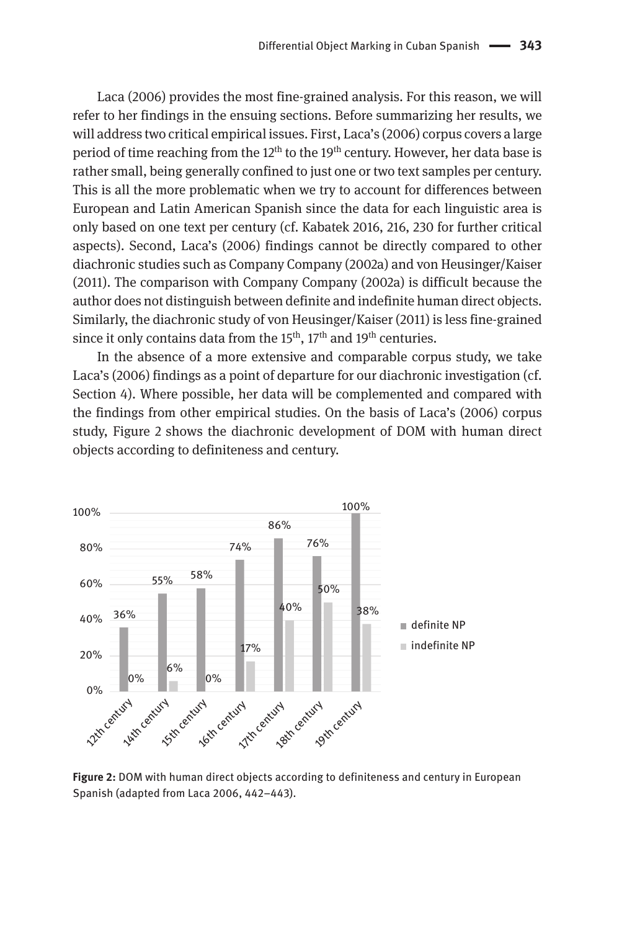Laca (2006) provides the most fine-grained analysis. For this reason, we will refer to her findings in the ensuing sections. Before summarizing her results, we will address two critical empirical issues. First, Laca's (2006) corpus covers a large period of time reaching from the  $12<sup>th</sup>$  to the  $19<sup>th</sup>$  century. However, her data base is rather small, being generally confined to just one or two text samples per century. This is all the more problematic when we try to account for differences between European and Latin American Spanish since the data for each linguistic area is only based on one text per century (cf. Kabatek 2016, 216, 230 for further critical aspects). Second, Laca's (2006) findings cannot be directly compared to other diachronic studies such as Company Company (2002a) and von Heusinger/Kaiser (2011). The comparison with Company Company (2002a) is difficult because the author does not distinguish between definite and indefinite human direct objects. Similarly, the diachronic study of von Heusinger/Kaiser (2011) is less fine-grained since it only contains data from the  $15<sup>th</sup>$ ,  $17<sup>th</sup>$  and  $19<sup>th</sup>$  centuries.

In the absence of a more extensive and comparable corpus study, we take Laca's (2006) findings as a point of departure for our diachronic investigation (cf. Section 4). Where possible, her data will be complemented and compared with the findings from other empirical studies. On the basis of Laca's (2006) corpus study, Figure 2 shows the diachronic development of DOM with human direct objects according to definiteness and century.



**Figure 2:** DOM with human direct objects according to definiteness and century in European Spanish (adapted from Laca 2006, 442–443).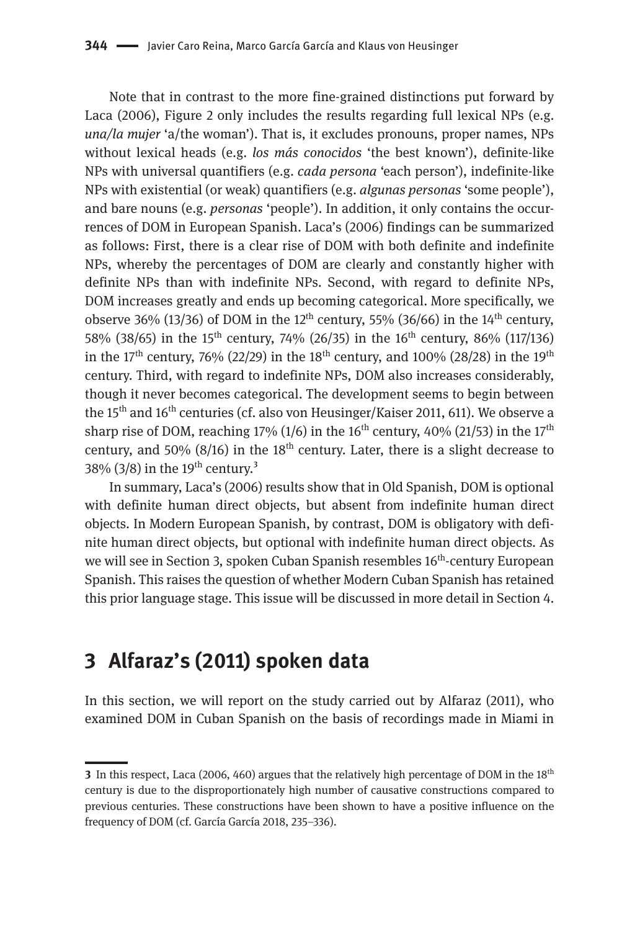Note that in contrast to the more fine-grained distinctions put forward by Laca (2006), Figure 2 only includes the results regarding full lexical NPs (e.g. *una/la mujer* 'a/the woman'). That is, it excludes pronouns, proper names, NPs without lexical heads (e.g. *los más conocidos* 'the best known'), definite-like NPs with universal quantifiers (e.g. *cada persona* 'each person'), indefinite-like NPs with existential (or weak) quantifiers (e.g. *algunas personas* 'some people'), and bare nouns (e.g. *personas* 'people'). In addition, it only contains the occurrences of DOM in European Spanish. Laca's (2006) findings can be summarized as follows: First, there is a clear rise of DOM with both definite and indefinite NPs, whereby the percentages of DOM are clearly and constantly higher with definite NPs than with indefinite NPs. Second, with regard to definite NPs, DOM increases greatly and ends up becoming categorical. More specifically, we observe 36% (13/36) of DOM in the 12<sup>th</sup> century, 55% (36/66) in the 14<sup>th</sup> century, 58% (38/65) in the 15<sup>th</sup> century, 74% (26/35) in the 16<sup>th</sup> century, 86% (117/136) in the 17<sup>th</sup> century, 76% (22/29) in the 18<sup>th</sup> century, and 100% (28/28) in the 19<sup>th</sup> century. Third, with regard to indefinite NPs, DOM also increases considerably, though it never becomes categorical. The development seems to begin between the 15<sup>th</sup> and 16<sup>th</sup> centuries (cf. also von Heusinger/Kaiser 2011, 611). We observe a sharp rise of DOM, reaching 17% (1/6) in the 16<sup>th</sup> century, 40% (21/53) in the 17<sup>th</sup> century, and 50% (8/16) in the 18<sup>th</sup> century. Later, there is a slight decrease to 38% (3/8) in the 19<sup>th</sup> century.<sup>3</sup>

In summary, Laca's (2006) results show that in Old Spanish, DOM is optional with definite human direct objects, but absent from indefinite human direct objects. In Modern European Spanish, by contrast, DOM is obligatory with definite human direct objects, but optional with indefinite human direct objects. As we will see in Section 3, spoken Cuban Spanish resembles 16<sup>th</sup>-century European Spanish. This raises the question of whether Modern Cuban Spanish has retained this prior language stage. This issue will be discussed in more detail in Section 4.

## **3 Alfaraz's (2011) spoken data**

In this section, we will report on the study carried out by Alfaraz (2011), who examined DOM in Cuban Spanish on the basis of recordings made in Miami in

**<sup>3</sup>** In this respect, Laca (2006, 460) argues that the relatively high percentage of DOM in the 18<sup>th</sup> century is due to the disproportionately high number of causative constructions compared to previous centuries. These constructions have been shown to have a positive influence on the frequency of DOM (cf. García García 2018, 235–336).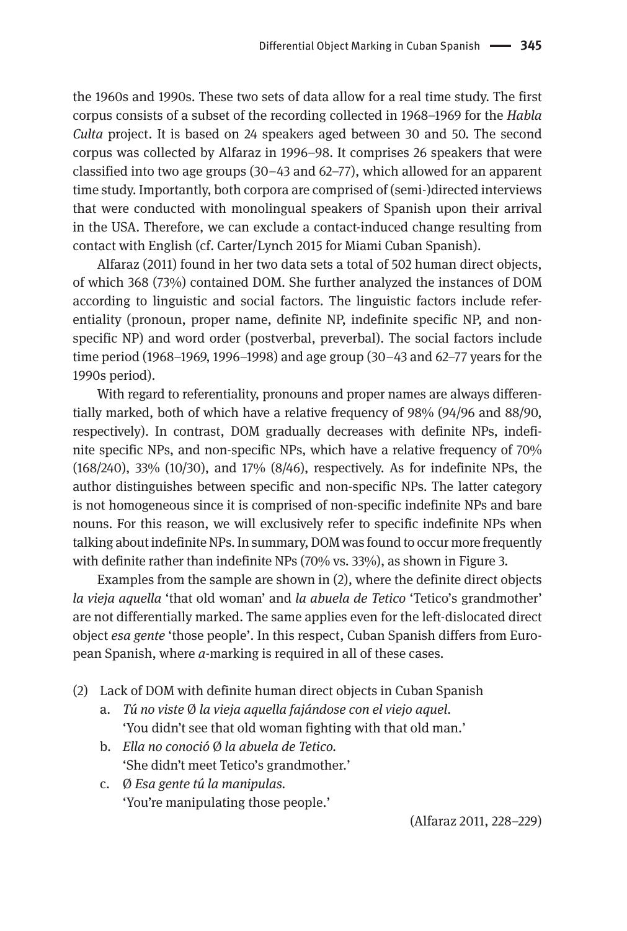the 1960s and 1990s. These two sets of data allow for a real time study. The first corpus consists of a subset of the recording collected in 1968–1969 for the *Habla Culta* project. It is based on 24 speakers aged between 30 and 50. The second corpus was collected by Alfaraz in 1996–98. It comprises 26 speakers that were classified into two age groups (30–43 and 62–77), which allowed for an apparent time study. Importantly, both corpora are comprised of (semi-)directed interviews that were conducted with monolingual speakers of Spanish upon their arrival in the USA. Therefore, we can exclude a contact-induced change resulting from contact with English (cf. Carter/Lynch 2015 for Miami Cuban Spanish).

Alfaraz (2011) found in her two data sets a total of 502 human direct objects, of which 368 (73%) contained DOM. She further analyzed the instances of DOM according to linguistic and social factors. The linguistic factors include referentiality (pronoun, proper name, definite NP, indefinite specific NP, and nonspecific NP) and word order (postverbal, preverbal). The social factors include time period (1968–1969, 1996–1998) and age group (30–43 and 62–77 years for the 1990s period).

With regard to referentiality, pronouns and proper names are always differentially marked, both of which have a relative frequency of 98% (94/96 and 88/90, respectively). In contrast, DOM gradually decreases with definite NPs, indefinite specific NPs, and non-specific NPs, which have a relative frequency of 70% (168/240), 33% (10/30), and 17% (8/46), respectively. As for indefinite NPs, the author distinguishes between specific and non-specific NPs. The latter category is not homogeneous since it is comprised of non-specific indefinite NPs and bare nouns. For this reason, we will exclusively refer to specific indefinite NPs when talking about indefinite NPs. In summary, DOM was found to occur more frequently with definite rather than indefinite NPs (70% vs. 33%), as shown in Figure 3.

Examples from the sample are shown in (2), where the definite direct objects *la vieja aquella* 'that old woman' and *la abuela de Tetico* 'Tetico's grandmother' are not differentially marked. The same applies even for the left-dislocated direct object *esa gente* 'those people'. In this respect, Cuban Spanish differs from European Spanish, where *a*-marking is required in all of these cases.

- (2) Lack of DOM with definite human direct objects in Cuban Spanish
	- a. *Tú no viste* Ø *la vieja aquella fajándose con el viejo aquel*. 'You didn't see that old woman fighting with that old man.'
	- b. *Ella no conoció* Ø *la abuela de Tetico.* 'She didn't meet Tetico's grandmother.'
	- c. Ø *Esa gente tú la manipulas.* 'You're manipulating those people.'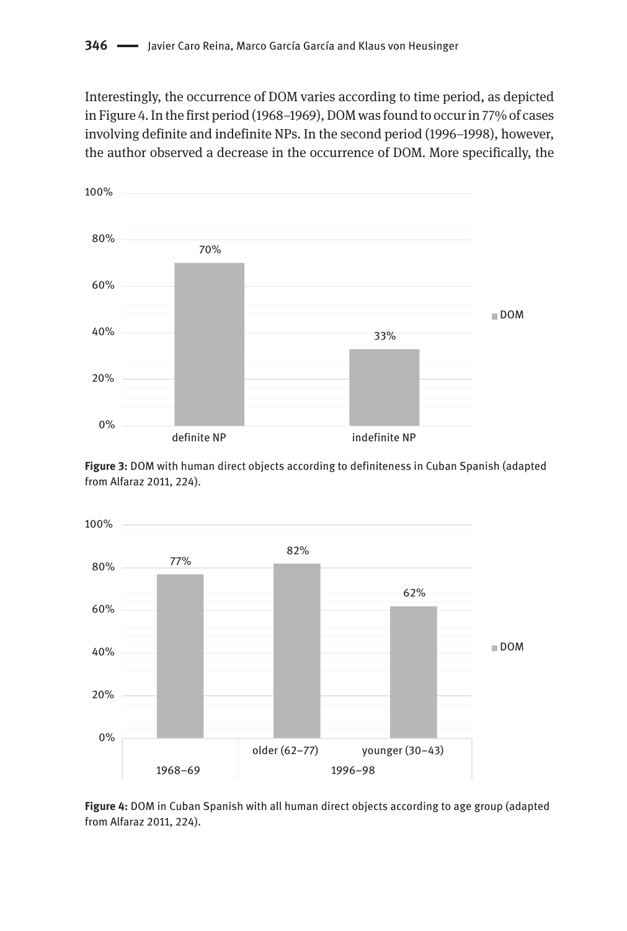Interestingly, the occurrence of DOM varies according to time period, as depicted in Figure 4. In the first period (1968–1969), DOM was found to occur in 77% of cases involving definite and indefinite NPs. In the second period (1996–1998), however, the author observed a decrease in the occurrence of DOM. More specifically, the



**Figure 3:** DOM with human direct objects according to definiteness in Cuban Spanish (adapted from Alfaraz 2011, 224).



**Figure 4:** DOM in Cuban Spanish with all human direct objects according to age group (adapted from Alfaraz 2011, 224).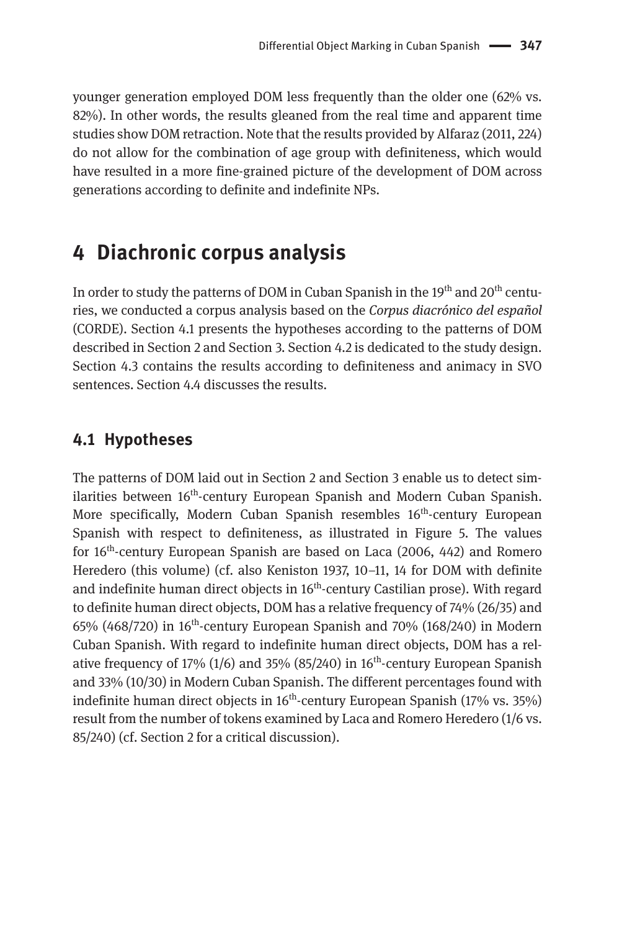younger generation employed DOM less frequently than the older one (62% vs. 82%). In other words, the results gleaned from the real time and apparent time studies show DOM retraction. Note that the results provided by Alfaraz (2011, 224) do not allow for the combination of age group with definiteness, which would have resulted in a more fine-grained picture of the development of DOM across generations according to definite and indefinite NPs.

## **4 Diachronic corpus analysis**

In order to study the patterns of DOM in Cuban Spanish in the 19<sup>th</sup> and 20<sup>th</sup> centuries, we conducted a corpus analysis based on the *Corpus diacrónico del español* (CORDE). Section 4.1 presents the hypotheses according to the patterns of DOM described in Section 2 and Section 3. Section 4.2 is dedicated to the study design. Section 4.3 contains the results according to definiteness and animacy in SVO sentences. Section 4.4 discusses the results.

### **4.1 Hypotheses**

The patterns of DOM laid out in Section 2 and Section 3 enable us to detect similarities between 16<sup>th</sup>-century European Spanish and Modern Cuban Spanish. More specifically, Modern Cuban Spanish resembles 16<sup>th</sup>-century European Spanish with respect to definiteness, as illustrated in Figure 5. The values for  $16<sup>th</sup>$ -century European Spanish are based on Laca (2006, 442) and Romero Heredero (this volume) (cf. also Keniston 1937, 10–11, 14 for DOM with definite and indefinite human direct objects in  $16<sup>th</sup>$ -century Castilian prose). With regard to definite human direct objects, DOM has a relative frequency of 74% (26/35) and 65% (468/720) in  $16<sup>th</sup>$ -century European Spanish and 70% (168/240) in Modern Cuban Spanish. With regard to indefinite human direct objects, DOM has a relative frequency of  $17\%$  ( $1/6$ ) and  $35\%$  ( $85/240$ ) in  $16<sup>th</sup>$ -century European Spanish and 33% (10/30) in Modern Cuban Spanish. The different percentages found with indefinite human direct objects in  $16<sup>th</sup>$ -century European Spanish (17% vs. 35%) result from the number of tokens examined by Laca and Romero Heredero (1/6 vs. 85/240) (cf. Section 2 for a critical discussion).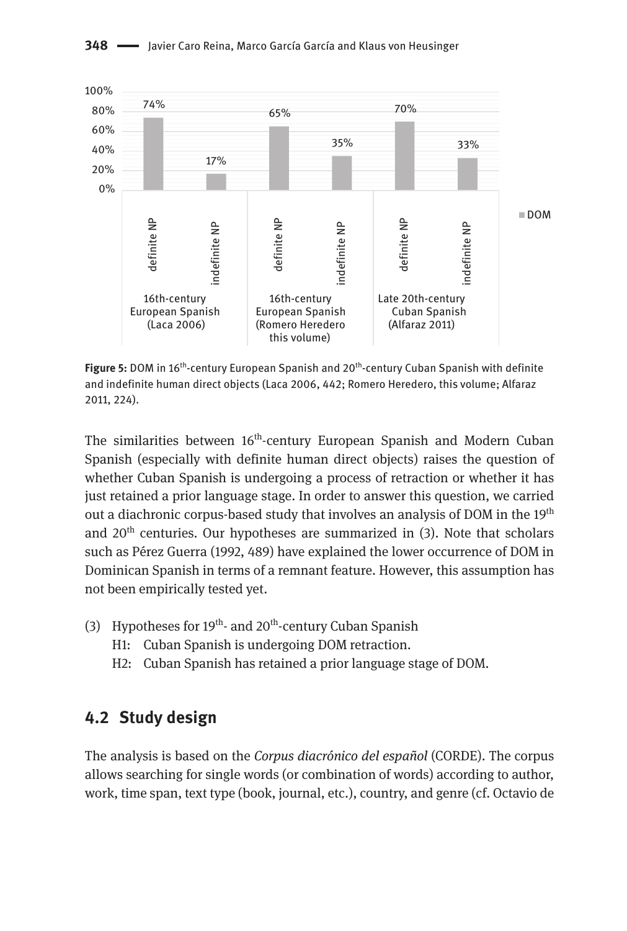

**Figure 5:** DOM in 16<sup>th</sup>-century European Spanish and 20<sup>th</sup>-century Cuban Spanish with definite and indefinite human direct objects (Laca 2006, 442; Romero Heredero, this volume; Alfaraz 2011, 224).

The similarities between 16<sup>th</sup>-century European Spanish and Modern Cuban Spanish (especially with definite human direct objects) raises the question of whether Cuban Spanish is undergoing a process of retraction or whether it has just retained a prior language stage. In order to answer this question, we carried out a diachronic corpus-based study that involves an analysis of DOM in the 19<sup>th</sup> and  $20<sup>th</sup>$  centuries. Our hypotheses are summarized in (3). Note that scholars such as Pérez Guerra (1992, 489) have explained the lower occurrence of DOM in Dominican Spanish in terms of a remnant feature. However, this assumption has not been empirically tested yet.

- (3) Hypotheses for  $19^{th}$  and  $20^{th}$ -century Cuban Spanish
	- H1: Cuban Spanish is undergoing DOM retraction.
	- H2: Cuban Spanish has retained a prior language stage of DOM.

### **4.2 Study design**

The analysis is based on the *Corpus diacrónico del español* (CORDE). The corpus allows searching for single words (or combination of words) according to author, work, time span, text type (book, journal, etc.), country, and genre (cf. Octavio de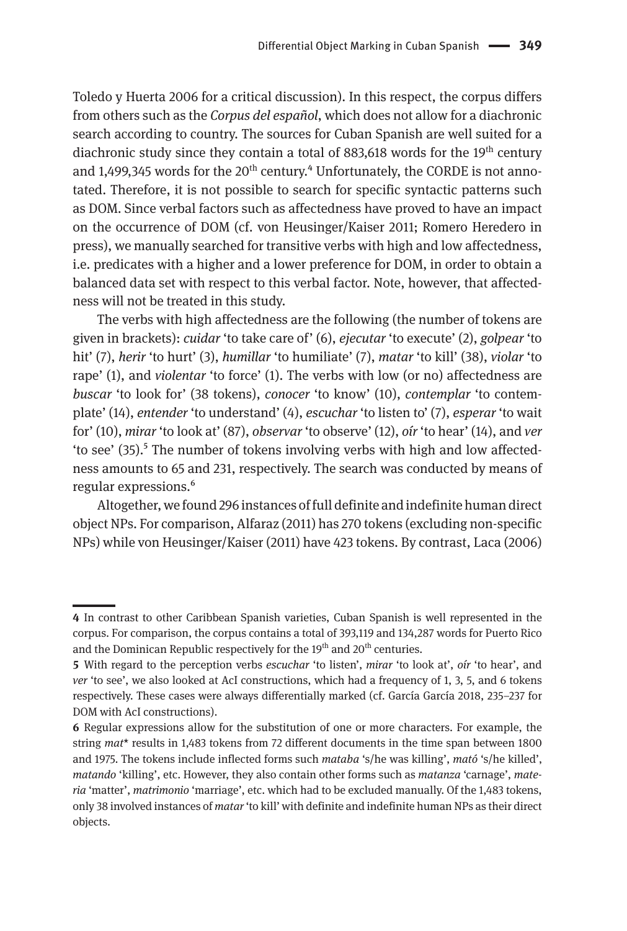Toledo y Huerta 2006 for a critical discussion). In this respect, the corpus differs from others such as the *Corpus del español*, which does not allow for a diachronic search according to country. The sources for Cuban Spanish are well suited for a diachronic study since they contain a total of 883,618 words for the 19<sup>th</sup> century and 1,499,345 words for the  $20<sup>th</sup>$  century.<sup>4</sup> Unfortunately, the CORDE is not annotated. Therefore, it is not possible to search for specific syntactic patterns such as DOM. Since verbal factors such as affectedness have proved to have an impact on the occurrence of DOM (cf. von Heusinger/Kaiser 2011; Romero Heredero in press), we manually searched for transitive verbs with high and low affectedness, i.e. predicates with a higher and a lower preference for DOM, in order to obtain a balanced data set with respect to this verbal factor. Note, however, that affectedness will not be treated in this study.

The verbs with high affectedness are the following (the number of tokens are given in brackets): *cuidar* 'to take care of' (6), *ejecutar* 'to execute' (2), *golpear* 'to hit' (7), *herir* 'to hurt' (3), *humillar* 'to humiliate' (7), *matar* 'to kill' (38), *violar* 'to rape' (1), and *violentar* 'to force' (1). The verbs with low (or no) affectedness are *buscar* 'to look for' (38 tokens), *conocer* 'to know' (10), *contemplar* 'to contemplate' (14), *entender* 'to understand' (4), *escuchar* 'to listen to' (7), *esperar* 'to wait for' (10), *mirar* 'to look at' (87), *observar* 'to observe' (12), *oír* 'to hear' (14), and *ver* 'to see'  $(35)$ .<sup>5</sup> The number of tokens involving verbs with high and low affectedness amounts to 65 and 231, respectively. The search was conducted by means of regular expressions.6

Altogether, we found 296 instances of full definite and indefinite human direct object NPs. For comparison, Alfaraz (2011) has 270 tokens (excluding non-specific NPs) while von Heusinger/Kaiser (2011) have 423 tokens. By contrast, Laca (2006)

**<sup>4</sup>** In contrast to other Caribbean Spanish varieties, Cuban Spanish is well represented in the corpus. For comparison, the corpus contains a total of 393,119 and 134,287 words for Puerto Rico and the Dominican Republic respectively for the  $19<sup>th</sup>$  and  $20<sup>th</sup>$  centuries.

**<sup>5</sup>** With regard to the perception verbs *escuchar* 'to listen', *mirar* 'to look at', *oír* 'to hear', and *ver* 'to see', we also looked at AcI constructions, which had a frequency of 1, 3, 5, and 6 tokens respectively. These cases were always differentially marked (cf. García García 2018, 235-237 for DOM with AcI constructions).

**<sup>6</sup>** Regular expressions allow for the substitution of one or more characters. For example, the string *mat*\* results in 1,483 tokens from 72 different documents in the time span between 1800 and 1975. The tokens include inflected forms such *mataba* 's/he was killing', *mató* 's/he killed'' *matando* 'killing', etc. However, they also contain other forms such as *matanza* 'carnage', *materia* 'matter', *matrimonio* 'marriage', etc. which had to be excluded manually. Of the 1,483 tokens, only 38 involved instances of *matar* 'to kill' with definite and indefinite human NPs as their direct objects.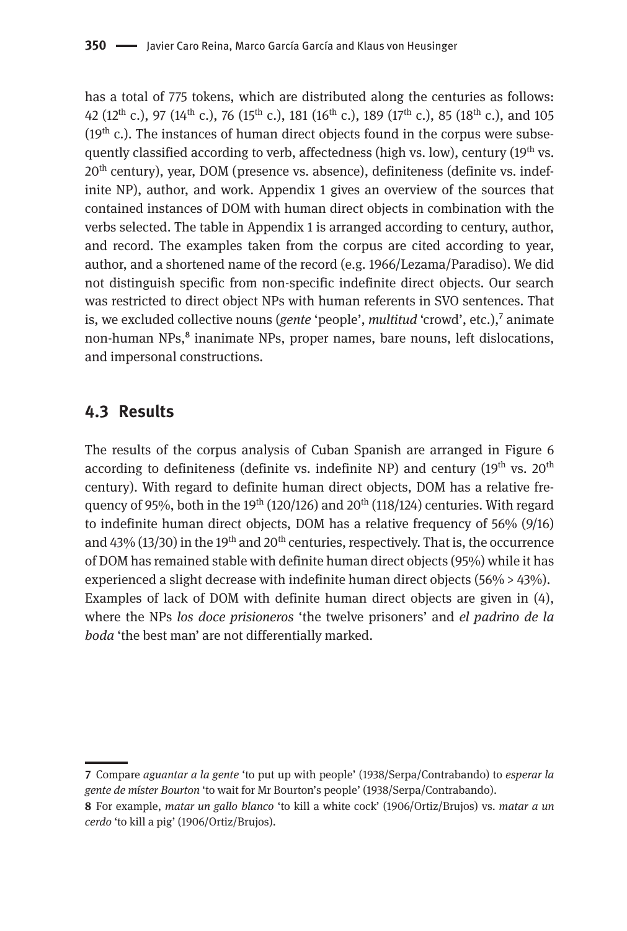has a total of 775 tokens, which are distributed along the centuries as follows: 42 ( $12^{th}$  c.), 97 ( $14^{th}$  c.), 76 ( $15^{th}$  c.), 181 ( $16^{th}$  c.), 189 ( $17^{th}$  c.), 85 ( $18^{th}$  c.), and  $105$  $(19<sup>th</sup> c.)$ . The instances of human direct objects found in the corpus were subsequently classified according to verb, affectedness (high vs. low), century  $(19<sup>th</sup>$  vs. 20<sup>th</sup> century), year, DOM (presence vs. absence), definiteness (definite vs. indefinite NP), author, and work. Appendix 1 gives an overview of the sources that contained instances of DOM with human direct objects in combination with the verbs selected. The table in Appendix 1 is arranged according to century, author, and record. The examples taken from the corpus are cited according to year, author, and a shortened name of the record (e.g. 1966/Lezama/Paradiso). We did not distinguish specific from non-specific indefinite direct objects. Our search was restricted to direct object NPs with human referents in SVO sentences. That is, we excluded collective nouns (*gente* 'people', *multitud* 'crowd', etc.),<sup>7</sup> animate non-human NPs,<sup>8</sup> inanimate NPs, proper names, bare nouns, left dislocations, and impersonal constructions.

#### **4.3 Results**

The results of the corpus analysis of Cuban Spanish are arranged in Figure 6 according to definiteness (definite vs. indefinite NP) and century  $(19<sup>th</sup>$  vs.  $20<sup>th</sup>$ century). With regard to definite human direct objects, DOM has a relative frequency of 95%, both in the 19<sup>th</sup> (120/126) and 20<sup>th</sup> (118/124) centuries. With regard to indefinite human direct objects, DOM has a relative frequency of 56% (9/16) and  $43\%$  (13/30) in the 19<sup>th</sup> and 20<sup>th</sup> centuries, respectively. That is, the occurrence of DOM has remained stable with definite human direct objects (95%) while it has experienced a slight decrease with indefinite human direct objects (56% > 43%). Examples of lack of DOM with definite human direct objects are given in (4), where the NPs *los doce prisioneros* 'the twelve prisoners' and *el padrino de la boda* 'the best man' are not differentially marked.

**<sup>7</sup>** Compare *aguantar a la gente* 'to put up with people' (1938/Serpa/Contrabando) to *esperar la gente de míster Bourton* 'to wait for Mr Bourton's people' (1938/Serpa/Contrabando).

**<sup>8</sup>** For example, *matar un gallo blanco* 'to kill a white cock' (1906/Ortiz/Brujos) vs. *matar a un cerdo* 'to kill a pig' (1906/Ortiz/Brujos).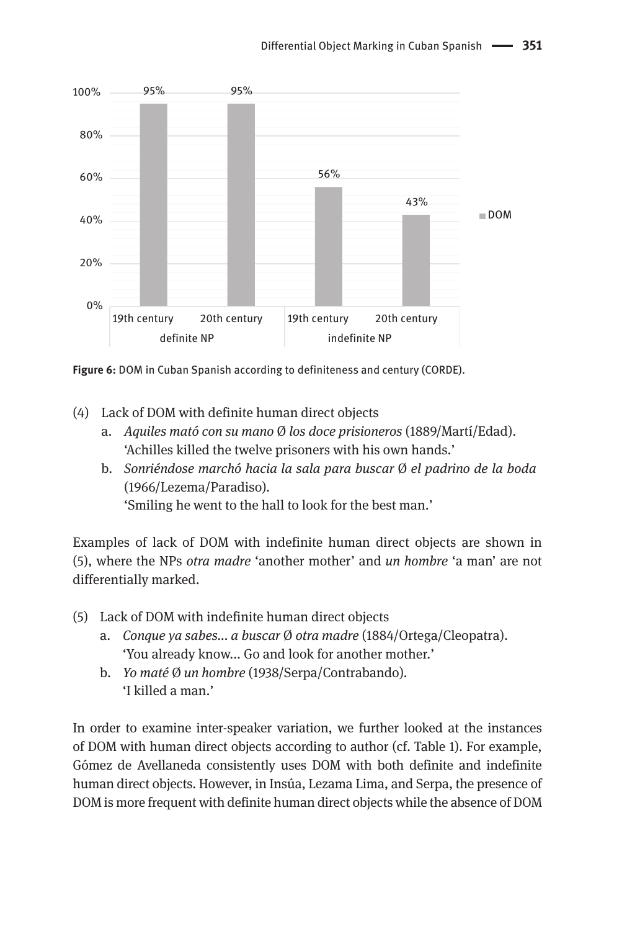

**Figure 6:** DOM in Cuban Spanish according to definiteness and century (CORDE).

- (4) Lack of DOM with definite human direct objects
	- a. *Aquiles mató con su mano* Ø *los doce prisioneros* (1889/Martí/Edad). 'Achilles killed the twelve prisoners with his own hands.'
	- b. *Sonriéndose marchó hacia la sala para buscar* Ø *el padrino de la boda* (1966/Lezema/Paradiso)*.* 'Smiling he went to the hall to look for the best man.'

Examples of lack of DOM with indefinite human direct objects are shown in (5), where the NPs *otra madre* 'another mother' and *un hombre* 'a man' are not differentially marked.

- (5) Lack of DOM with indefinite human direct objects
	- a. *Conque ya sabes... a buscar* Ø *otra madre* (1884/Ortega/Cleopatra). 'You already know... Go and look for another mother.'
	- b. *Yo maté* Ø *un hombre* (1938/Serpa/Contrabando)*.* 'I killed a man.'

In order to examine inter-speaker variation, we further looked at the instances of DOM with human direct objects according to author (cf. Table 1). For example, Gómez de Avellaneda consistently uses DOM with both definite and indefinite human direct objects. However, in Insúa, Lezama Lima, and Serpa, the presence of DOM is more frequent with definite human direct objects while the absence of DOM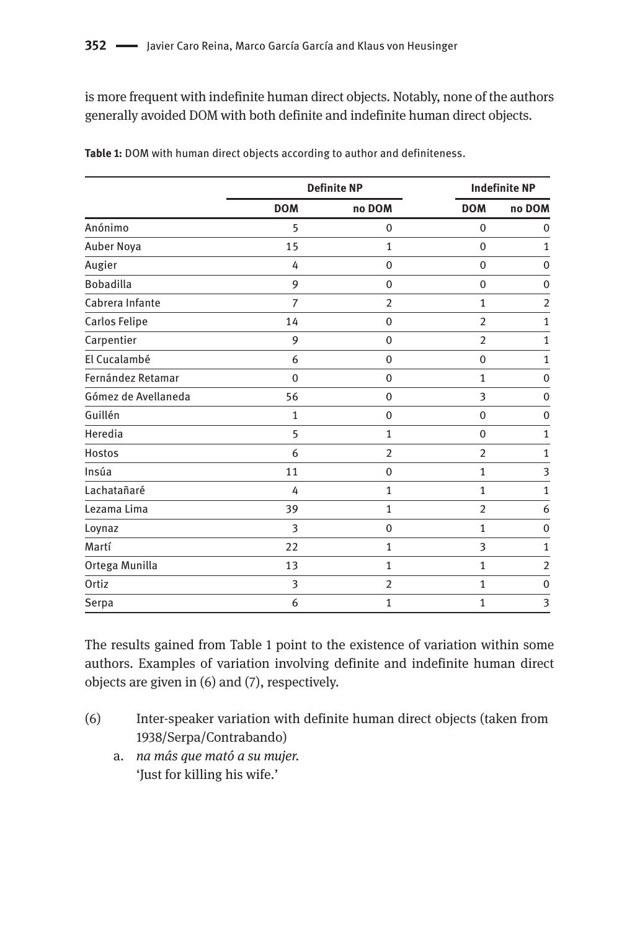is more frequent with indefinite human direct objects. Notably, none of the authors generally avoided DOM with both definite and indefinite human direct objects.

|                     | <b>Definite NP</b> |                |                | <b>Indefinite NP</b>    |  |
|---------------------|--------------------|----------------|----------------|-------------------------|--|
|                     | <b>DOM</b>         | no DOM         | <b>DOM</b>     | no DOM                  |  |
| Anónimo             | 5                  | $\mathbf 0$    | 0              | $\boldsymbol{0}$        |  |
| Auber Noya          | 15                 | $\mathbf{1}$   | 0              | 1                       |  |
| Augier              | 4                  | $\mathbf 0$    | 0              | $\mathbf 0$             |  |
| <b>Bobadilla</b>    | 9                  | $\mathbf 0$    | 0              | $\mathbf 0$             |  |
| Cabrera Infante     | $\overline{7}$     | $\overline{2}$ | $\mathbf{1}$   | $\overline{2}$          |  |
| Carlos Felipe       | 14                 | $\mathbf 0$    | $\overline{2}$ | 1                       |  |
| Carpentier          | 9                  | $\mathbf 0$    | $\overline{2}$ | 1                       |  |
| El Cucalambé        | 6                  | $\mathbf 0$    | $\mathbf 0$    | $\mathbf 1$             |  |
| Fernández Retamar   | $\mathbf{0}$       | $\mathbf 0$    | $\mathbf{1}$   | $\mathbf 0$             |  |
| Gómez de Avellaneda | 56                 | $\mathbf 0$    | 3              | $\mathbf 0$             |  |
| Guillén             | $\mathbf{1}$       | $\mathbf 0$    | $\mathbf 0$    | $\mathbf 0$             |  |
| Heredia             | 5                  | $\mathbf{1}$   | $\mathbf 0$    | $\mathbf{1}$            |  |
| <b>Hostos</b>       | 6                  | $\overline{2}$ | $\overline{2}$ | $\mathbf{1}$            |  |
| Insúa               | 11                 | $\mathbf 0$    | $\mathbf{1}$   | 3                       |  |
| Lachatañaré         | 4                  | $\mathbf{1}$   | $\mathbf{1}$   | $\mathbf{1}$            |  |
| Lezama Lima         | 39                 | $\mathbf{1}$   | $\overline{2}$ | 6                       |  |
| Loynaz              | 3                  | $\mathbf 0$    | $\mathbf{1}$   | $\mathbf 0$             |  |
| Martí               | 22                 | $\mathbf{1}$   | 3              | $\mathbf{1}$            |  |
| Ortega Munilla      | 13                 | $\mathbf{1}$   | $\mathbf{1}$   | $\overline{2}$          |  |
| Ortiz               | 3                  | $\overline{2}$ | $\mathbf{1}$   | $\mathbf 0$             |  |
| Serpa               | 6                  | $\mathbf{1}$   | 1              | $\overline{\mathbf{3}}$ |  |

**Table 1:** DOM with human direct objects according to author and definiteness.

The results gained from Table 1 point to the existence of variation within some authors. Examples of variation involving definite and indefinite human direct objects are given in (6) and (7), respectively.

- (6) Inter-speaker variation with definite human direct objects (taken from 1938/Serpa/Contrabando)
	- a. *na más que mató a su mujer.* 'Just for killing his wife.'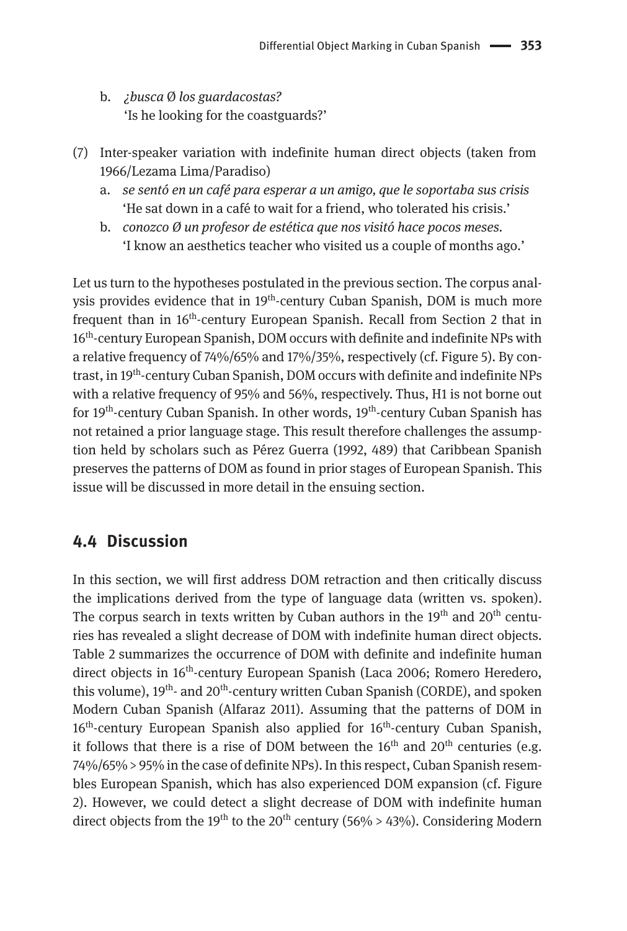- b. *¿busca* Ø *los guardacostas?* 'Is he looking for the coastguards?'
- (7) Inter-speaker variation with indefinite human direct objects (taken from 1966/Lezama Lima/Paradiso)
	- a. *se sentó en un café para esperar a un amigo, que le soportaba sus crisis* 'He sat down in a café to wait for a friend, who tolerated his crisis.'
	- b. *conozco Ø un profesor de estética que nos visitó hace pocos meses.* 'I know an aesthetics teacher who visited us a couple of months ago.'

Let us turn to the hypotheses postulated in the previous section. The corpus analysis provides evidence that in 19<sup>th</sup>-century Cuban Spanish, DOM is much more frequent than in 16<sup>th</sup>-century European Spanish. Recall from Section 2 that in 16th-century European Spanish, DOM occurs with definite and indefinite NPs with a relative frequency of 74%/65% and 17%/35%, respectively (cf. Figure 5). By contrast, in 19th-century Cuban Spanish, DOM occurs with definite and indefinite NPs with a relative frequency of 95% and 56%, respectively. Thus, H1 is not borne out for  $19<sup>th</sup>$ -century Cuban Spanish. In other words,  $19<sup>th</sup>$ -century Cuban Spanish has not retained a prior language stage. This result therefore challenges the assumption held by scholars such as Pérez Guerra (1992, 489) that Caribbean Spanish preserves the patterns of DOM as found in prior stages of European Spanish. This issue will be discussed in more detail in the ensuing section.

#### **4.4 Discussion**

In this section, we will first address DOM retraction and then critically discuss the implications derived from the type of language data (written vs. spoken). The corpus search in texts written by Cuban authors in the  $19<sup>th</sup>$  and  $20<sup>th</sup>$  centuries has revealed a slight decrease of DOM with indefinite human direct objects. Table 2 summarizes the occurrence of DOM with definite and indefinite human direct objects in 16<sup>th</sup>-century European Spanish (Laca 2006; Romero Heredero, this volume), 19<sup>th</sup>- and 20<sup>th</sup>-century written Cuban Spanish (CORDE), and spoken Modern Cuban Spanish (Alfaraz 2011). Assuming that the patterns of DOM in 16<sup>th</sup>-century European Spanish also applied for 16<sup>th</sup>-century Cuban Spanish, it follows that there is a rise of DOM between the  $16<sup>th</sup>$  and  $20<sup>th</sup>$  centuries (e.g. 74%/65% > 95% in the case of definite NPs). In this respect, Cuban Spanish resembles European Spanish, which has also experienced DOM expansion (cf. Figure 2). However, we could detect a slight decrease of DOM with indefinite human direct objects from the 19<sup>th</sup> to the 20<sup>th</sup> century (56% > 43%). Considering Modern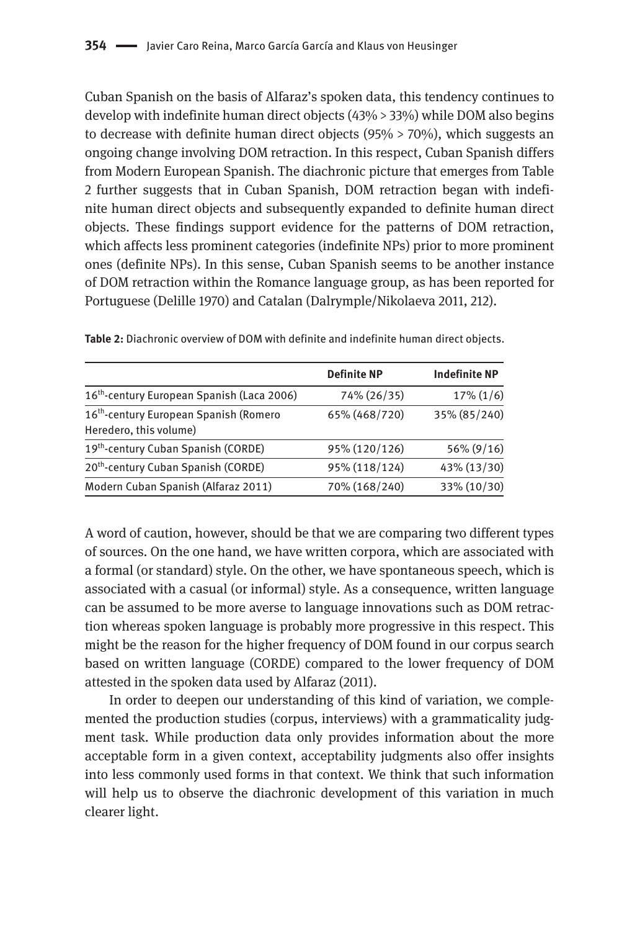Cuban Spanish on the basis of Alfaraz's spoken data, this tendency continues to develop with indefinite human direct objects (43% > 33%) while DOM also begins to decrease with definite human direct objects (95% > 70%), which suggests an ongoing change involving DOM retraction. In this respect, Cuban Spanish differs from Modern European Spanish. The diachronic picture that emerges from Table 2 further suggests that in Cuban Spanish, DOM retraction began with indefinite human direct objects and subsequently expanded to definite human direct objects. These findings support evidence for the patterns of DOM retraction, which affects less prominent categories (indefinite NPs) prior to more prominent ones (definite NPs). In this sense, Cuban Spanish seems to be another instance of DOM retraction within the Romance language group, as has been reported for Portuguese (Delille 1970) and Catalan (Dalrymple/Nikolaeva 2011, 212).

|                                                                              | <b>Definite NP</b> | <b>Indefinite NP</b> |
|------------------------------------------------------------------------------|--------------------|----------------------|
| 16 <sup>th</sup> -century European Spanish (Laca 2006)                       | 74% (26/35)        | $17\%$ (1/6)         |
| 16 <sup>th</sup> -century European Spanish (Romero<br>Heredero, this volume) | 65% (468/720)      | 35% (85/240)         |
| 19th-century Cuban Spanish (CORDE)                                           | 95% (120/126)      | 56% (9/16)           |
| 20 <sup>th</sup> -century Cuban Spanish (CORDE)                              | 95% (118/124)      | 43% (13/30)          |
| Modern Cuban Spanish (Alfaraz 2011)                                          | 70% (168/240)      | 33% (10/30)          |

**Table 2:** Diachronic overview of DOM with definite and indefinite human direct objects.

A word of caution, however, should be that we are comparing two different types of sources. On the one hand, we have written corpora, which are associated with a formal (or standard) style. On the other, we have spontaneous speech, which is associated with a casual (or informal) style. As a consequence, written language can be assumed to be more averse to language innovations such as DOM retraction whereas spoken language is probably more progressive in this respect. This might be the reason for the higher frequency of DOM found in our corpus search based on written language (CORDE) compared to the lower frequency of DOM attested in the spoken data used by Alfaraz (2011).

In order to deepen our understanding of this kind of variation, we complemented the production studies (corpus, interviews) with a grammaticality judgment task. While production data only provides information about the more acceptable form in a given context, acceptability judgments also offer insights into less commonly used forms in that context. We think that such information will help us to observe the diachronic development of this variation in much clearer light.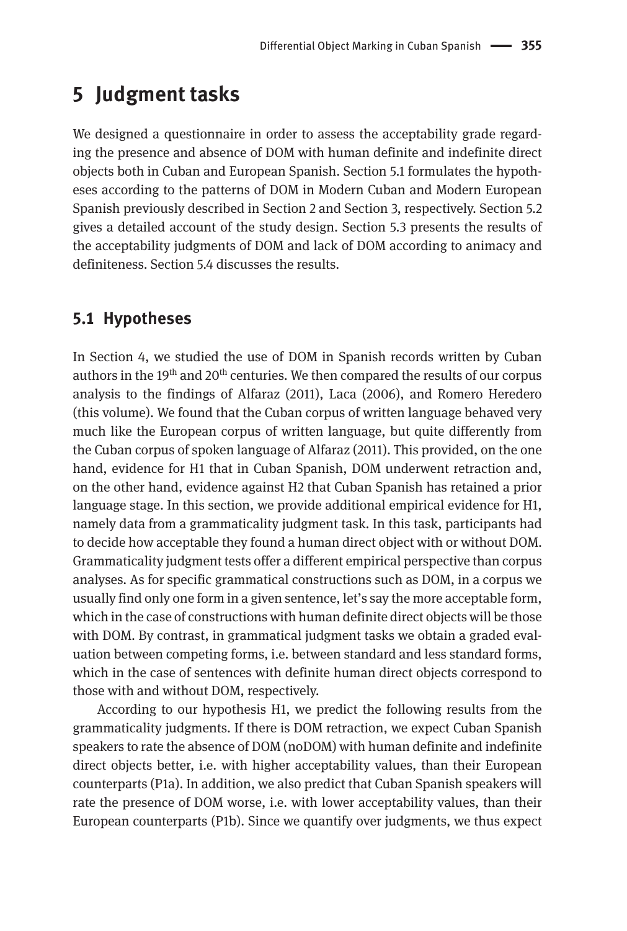## **5 Judgment tasks**

We designed a questionnaire in order to assess the acceptability grade regarding the presence and absence of DOM with human definite and indefinite direct objects both in Cuban and European Spanish. Section 5.1 formulates the hypotheses according to the patterns of DOM in Modern Cuban and Modern European Spanish previously described in Section 2 and Section 3, respectively. Section 5.2 gives a detailed account of the study design. Section 5.3 presents the results of the acceptability judgments of DOM and lack of DOM according to animacy and definiteness. Section 5.4 discusses the results.

### **5.1 Hypotheses**

In Section 4, we studied the use of DOM in Spanish records written by Cuban authors in the 19<sup>th</sup> and 20<sup>th</sup> centuries. We then compared the results of our corpus analysis to the findings of Alfaraz (2011), Laca (2006), and Romero Heredero (this volume). We found that the Cuban corpus of written language behaved very much like the European corpus of written language, but quite differently from the Cuban corpus of spoken language of Alfaraz (2011). This provided, on the one hand, evidence for H1 that in Cuban Spanish, DOM underwent retraction and, on the other hand, evidence against H2 that Cuban Spanish has retained a prior language stage. In this section, we provide additional empirical evidence for H1, namely data from a grammaticality judgment task. In this task, participants had to decide how acceptable they found a human direct object with or without DOM. Grammaticality judgment tests offer a different empirical perspective than corpus analyses. As for specific grammatical constructions such as DOM, in a corpus we usually find only one form in a given sentence, let's say the more acceptable form, which in the case of constructions with human definite direct objects will be those with DOM. By contrast, in grammatical judgment tasks we obtain a graded evaluation between competing forms, i.e. between standard and less standard forms, which in the case of sentences with definite human direct objects correspond to those with and without DOM, respectively.

According to our hypothesis H1, we predict the following results from the grammaticality judgments. If there is DOM retraction, we expect Cuban Spanish speakers to rate the absence of DOM (noDOM) with human definite and indefinite direct objects better, i.e. with higher acceptability values, than their European counterparts (P1a). In addition, we also predict that Cuban Spanish speakers will rate the presence of DOM worse, i.e. with lower acceptability values, than their European counterparts (P1b). Since we quantify over judgments, we thus expect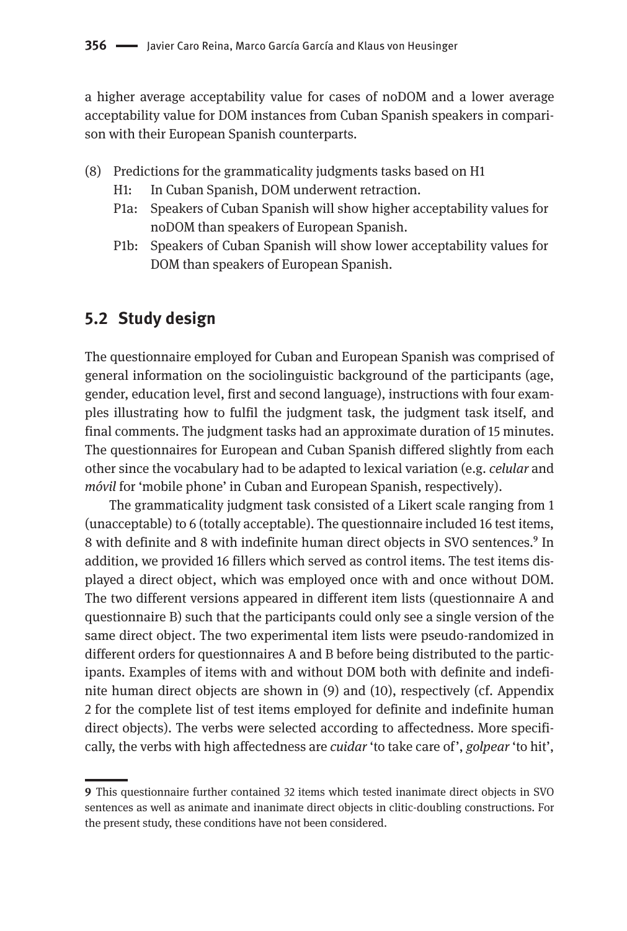a higher average acceptability value for cases of noDOM and a lower average acceptability value for DOM instances from Cuban Spanish speakers in comparison with their European Spanish counterparts.

- (8) Predictions for the grammaticality judgments tasks based on H1
	- H1: In Cuban Spanish, DOM underwent retraction.
	- P1a: Speakers of Cuban Spanish will show higher acceptability values for noDOM than speakers of European Spanish.
	- P1b: Speakers of Cuban Spanish will show lower acceptability values for DOM than speakers of European Spanish.

### **5.2 Study design**

The questionnaire employed for Cuban and European Spanish was comprised of general information on the sociolinguistic background of the participants (age, gender, education level, first and second language), instructions with four examples illustrating how to fulfil the judgment task, the judgment task itself, and final comments. The judgment tasks had an approximate duration of 15 minutes. The questionnaires for European and Cuban Spanish differed slightly from each other since the vocabulary had to be adapted to lexical variation (e.g. *celular* and *móvil* for 'mobile phone' in Cuban and European Spanish, respectively).

The grammaticality judgment task consisted of a Likert scale ranging from 1 (unacceptable) to 6 (totally acceptable). The questionnaire included 16 test items, 8 with definite and 8 with indefinite human direct objects in SVO sentences.<sup>9</sup> In addition, we provided 16 fillers which served as control items. The test items displayed a direct object, which was employed once with and once without DOM. The two different versions appeared in different item lists (questionnaire A and questionnaire B) such that the participants could only see a single version of the same direct object. The two experimental item lists were pseudo-randomized in different orders for questionnaires A and B before being distributed to the participants. Examples of items with and without DOM both with definite and indefinite human direct objects are shown in (9) and (10), respectively (cf. Appendix 2 for the complete list of test items employed for definite and indefinite human direct objects). The verbs were selected according to affectedness. More specifically, the verbs with high affectedness are *cuidar* 'to take care of', *golpear* 'to hit',

**<sup>9</sup>** This questionnaire further contained 32 items which tested inanimate direct objects in SVO sentences as well as animate and inanimate direct objects in clitic-doubling constructions. For the present study, these conditions have not been considered.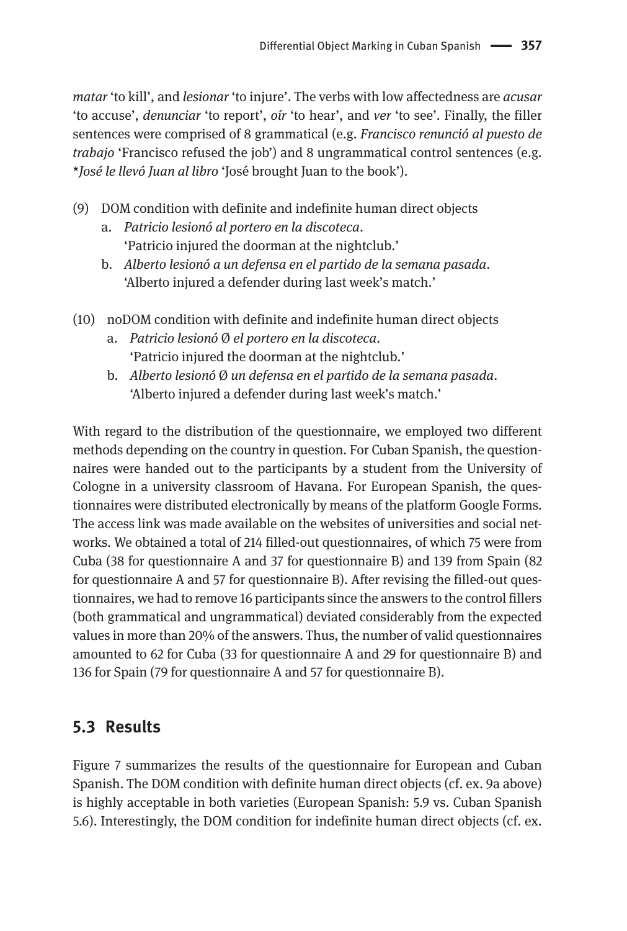*matar* 'to kill', and *lesionar* 'to injure'. The verbs with low affectedness are *acusar* 'to accuse', *denunciar* 'to report', *oír* 'to hear', and *ver* 'to see'. Finally, the filler sentences were comprised of 8 grammatical (e.g. *Francisco renunció al puesto de trabajo* 'Francisco refused the job') and 8 ungrammatical control sentences (e.g. \**José le llevó Juan al libro* 'José brought Juan to the book').

- (9) DOM condition with definite and indefinite human direct objects
	- a. *Patricio lesionó al portero en la discoteca*. 'Patricio injured the doorman at the nightclub.'
	- b. *Alberto lesionó a un defensa en el partido de la semana pasada*. 'Alberto injured a defender during last week's match.'
- (10) noDOM condition with definite and indefinite human direct objects
	- a. *Patricio lesionó* Ø *el portero en la discoteca*. 'Patricio injured the doorman at the nightclub.'
	- b. *Alberto lesionó* Ø *un defensa en el partido de la semana pasada*. 'Alberto injured a defender during last week's match.'

With regard to the distribution of the questionnaire, we employed two different methods depending on the country in question. For Cuban Spanish, the questionnaires were handed out to the participants by a student from the University of Cologne in a university classroom of Havana. For European Spanish, the questionnaires were distributed electronically by means of the platform Google Forms. The access link was made available on the websites of universities and social networks. We obtained a total of 214 filled-out questionnaires, of which 75 were from Cuba (38 for questionnaire A and 37 for questionnaire B) and 139 from Spain (82 for questionnaire A and 57 for questionnaire B). After revising the filled-out questionnaires, we had to remove 16 participants since the answers to the control fillers (both grammatical and ungrammatical) deviated considerably from the expected values in more than 20% of the answers. Thus, the number of valid questionnaires amounted to 62 for Cuba (33 for questionnaire A and 29 for questionnaire B) and 136 for Spain (79 for questionnaire A and 57 for questionnaire B).

### **5.3 Results**

Figure 7 summarizes the results of the questionnaire for European and Cuban Spanish. The DOM condition with definite human direct objects (cf. ex. 9a above) is highly acceptable in both varieties (European Spanish: 5.9 vs. Cuban Spanish 5.6). Interestingly, the DOM condition for indefinite human direct objects (cf. ex.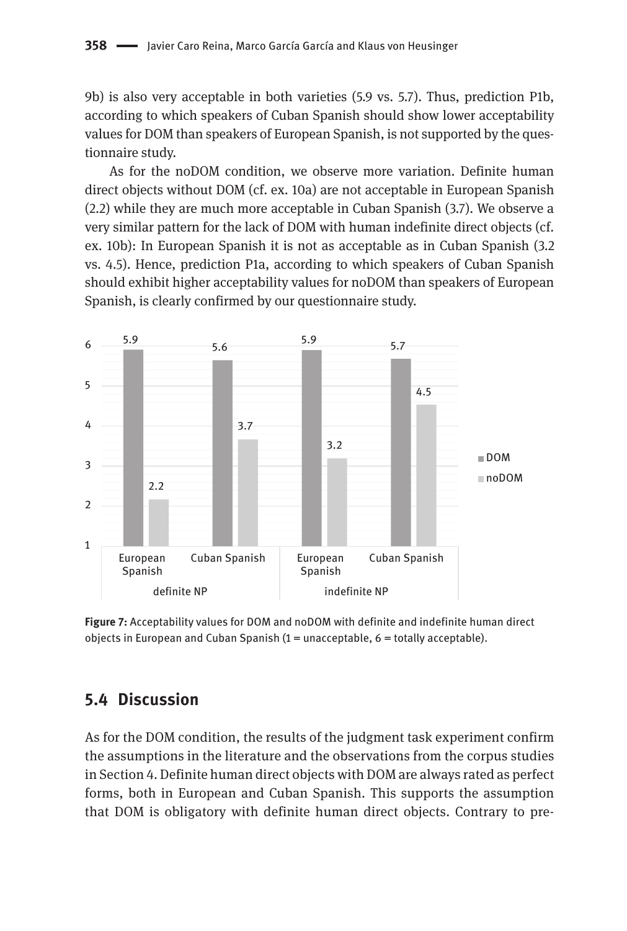9b) is also very acceptable in both varieties (5.9 vs. 5.7). Thus, prediction P1b, according to which speakers of Cuban Spanish should show lower acceptability values for DOM than speakers of European Spanish, is not supported by the questionnaire study.

As for the noDOM condition, we observe more variation. Definite human direct objects without DOM (cf. ex. 10a) are not acceptable in European Spanish (2.2) while they are much more acceptable in Cuban Spanish (3.7). We observe a very similar pattern for the lack of DOM with human indefinite direct objects (cf. ex. 10b): In European Spanish it is not as acceptable as in Cuban Spanish (3.2 vs. 4.5). Hence, prediction P1a, according to which speakers of Cuban Spanish should exhibit higher acceptability values for noDOM than speakers of European Spanish, is clearly confirmed by our questionnaire study.



**Figure 7:** Acceptability values for DOM and noDOM with definite and indefinite human direct objects in European and Cuban Spanish  $(1 =$ unacceptable, 6 = totally acceptable).

### **5.4 Discussion**

As for the DOM condition, the results of the judgment task experiment confirm the assumptions in the literature and the observations from the corpus studies in Section 4. Definite human direct objects with DOM are always rated as perfect forms, both in European and Cuban Spanish. This supports the assumption that DOM is obligatory with definite human direct objects. Contrary to pre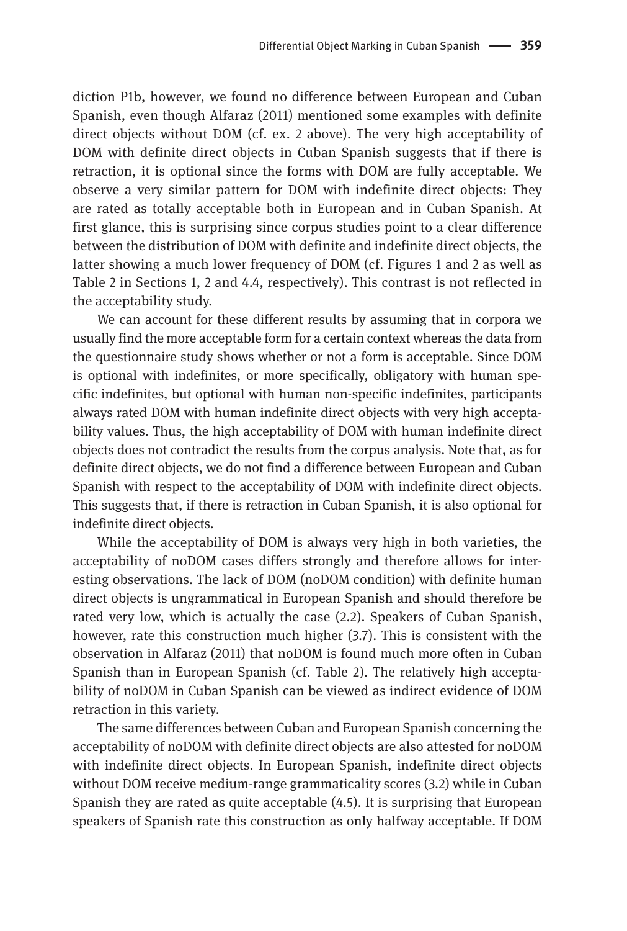diction P1b, however, we found no difference between European and Cuban Spanish, even though Alfaraz (2011) mentioned some examples with definite direct objects without DOM (cf. ex. 2 above). The very high acceptability of DOM with definite direct objects in Cuban Spanish suggests that if there is retraction, it is optional since the forms with DOM are fully acceptable. We observe a very similar pattern for DOM with indefinite direct objects: They are rated as totally acceptable both in European and in Cuban Spanish. At first glance, this is surprising since corpus studies point to a clear difference between the distribution of DOM with definite and indefinite direct objects, the latter showing a much lower frequency of DOM (cf. Figures 1 and 2 as well as Table 2 in Sections 1, 2 and 4.4, respectively). This contrast is not reflected in the acceptability study.

We can account for these different results by assuming that in corpora we usually find the more acceptable form for a certain context whereas the data from the questionnaire study shows whether or not a form is acceptable. Since DOM is optional with indefinites, or more specifically, obligatory with human specific indefinites, but optional with human non-specific indefinites, participants always rated DOM with human indefinite direct objects with very high acceptability values. Thus, the high acceptability of DOM with human indefinite direct objects does not contradict the results from the corpus analysis. Note that, as for definite direct objects, we do not find a difference between European and Cuban Spanish with respect to the acceptability of DOM with indefinite direct objects. This suggests that, if there is retraction in Cuban Spanish, it is also optional for indefinite direct objects.

While the acceptability of DOM is always very high in both varieties, the acceptability of noDOM cases differs strongly and therefore allows for interesting observations. The lack of DOM (noDOM condition) with definite human direct objects is ungrammatical in European Spanish and should therefore be rated very low, which is actually the case (2.2). Speakers of Cuban Spanish, however, rate this construction much higher (3.7). This is consistent with the observation in Alfaraz (2011) that noDOM is found much more often in Cuban Spanish than in European Spanish (cf. Table 2). The relatively high acceptability of noDOM in Cuban Spanish can be viewed as indirect evidence of DOM retraction in this variety.

The same differences between Cuban and European Spanish concerning the acceptability of noDOM with definite direct objects are also attested for noDOM with indefinite direct objects. In European Spanish, indefinite direct objects without DOM receive medium-range grammaticality scores (3.2) while in Cuban Spanish they are rated as quite acceptable (4.5). It is surprising that European speakers of Spanish rate this construction as only halfway acceptable. If DOM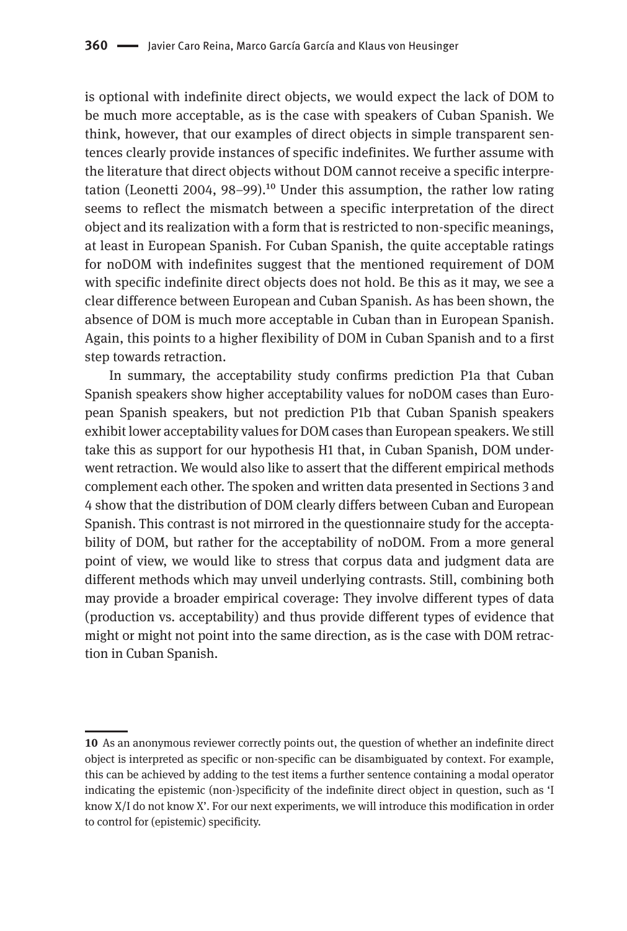is optional with indefinite direct objects, we would expect the lack of DOM to be much more acceptable, as is the case with speakers of Cuban Spanish. We think, however, that our examples of direct objects in simple transparent sentences clearly provide instances of specific indefinites. We further assume with the literature that direct objects without DOM cannot receive a specific interpretation (Leonetti 2004, 98–99).<sup>10</sup> Under this assumption, the rather low rating seems to reflect the mismatch between a specific interpretation of the direct object and its realization with a form that is restricted to non-specific meanings, at least in European Spanish. For Cuban Spanish, the quite acceptable ratings for noDOM with indefinites suggest that the mentioned requirement of DOM with specific indefinite direct objects does not hold. Be this as it may, we see a clear difference between European and Cuban Spanish. As has been shown, the absence of DOM is much more acceptable in Cuban than in European Spanish. Again, this points to a higher flexibility of DOM in Cuban Spanish and to a first step towards retraction.

In summary, the acceptability study confirms prediction P1a that Cuban Spanish speakers show higher acceptability values for noDOM cases than European Spanish speakers, but not prediction P1b that Cuban Spanish speakers exhibit lower acceptability values for DOM cases than European speakers. We still take this as support for our hypothesis H1 that, in Cuban Spanish, DOM underwent retraction. We would also like to assert that the different empirical methods complement each other. The spoken and written data presented in Sections 3 and 4 show that the distribution of DOM clearly differs between Cuban and European Spanish. This contrast is not mirrored in the questionnaire study for the acceptability of DOM, but rather for the acceptability of noDOM. From a more general point of view, we would like to stress that corpus data and judgment data are different methods which may unveil underlying contrasts. Still, combining both may provide a broader empirical coverage: They involve different types of data (production vs. acceptability) and thus provide different types of evidence that might or might not point into the same direction, as is the case with DOM retraction in Cuban Spanish.

**<sup>10</sup>** As an anonymous reviewer correctly points out, the question of whether an indefinite direct object is interpreted as specific or non-specific can be disambiguated by context. For example, this can be achieved by adding to the test items a further sentence containing a modal operator indicating the epistemic (non-)specificity of the indefinite direct object in question, such as 'I know X/I do not know X'. For our next experiments, we will introduce this modification in order to control for (epistemic) specificity.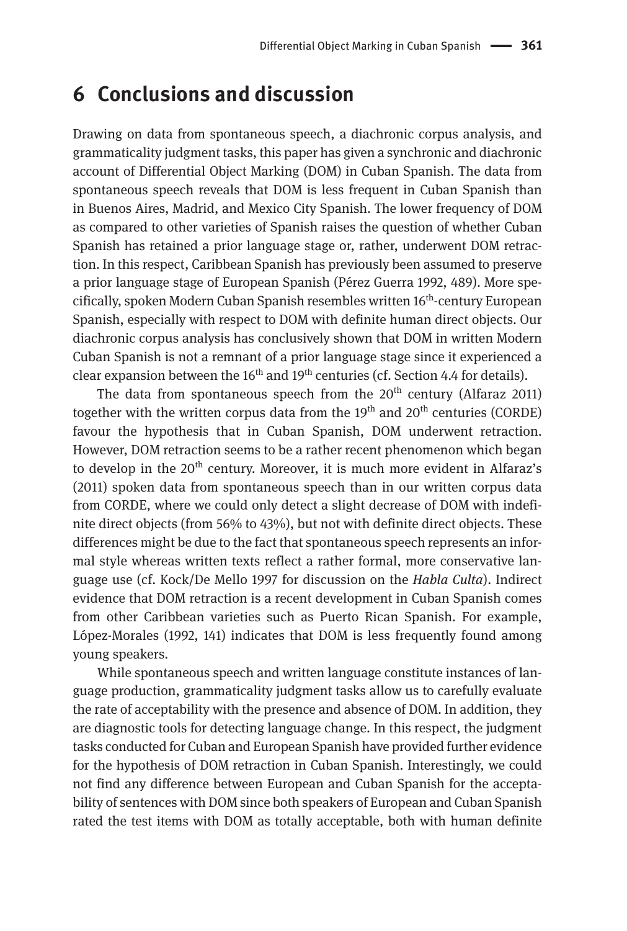### **6 Conclusions and discussion**

Drawing on data from spontaneous speech, a diachronic corpus analysis, and grammaticality judgment tasks, this paper has given a synchronic and diachronic account of Differential Object Marking (DOM) in Cuban Spanish. The data from spontaneous speech reveals that DOM is less frequent in Cuban Spanish than in Buenos Aires, Madrid, and Mexico City Spanish. The lower frequency of DOM as compared to other varieties of Spanish raises the question of whether Cuban Spanish has retained a prior language stage or, rather, underwent DOM retraction. In this respect, Caribbean Spanish has previously been assumed to preserve a prior language stage of European Spanish (Pérez Guerra 1992, 489). More specifically, spoken Modern Cuban Spanish resembles written 16<sup>th</sup>-century European Spanish, especially with respect to DOM with definite human direct objects. Our diachronic corpus analysis has conclusively shown that DOM in written Modern Cuban Spanish is not a remnant of a prior language stage since it experienced a clear expansion between the 16<sup>th</sup> and 19<sup>th</sup> centuries (cf. Section 4.4 for details).

The data from spontaneous speech from the  $20<sup>th</sup>$  century (Alfaraz 2011) together with the written corpus data from the  $19<sup>th</sup>$  and  $20<sup>th</sup>$  centuries (CORDE) favour the hypothesis that in Cuban Spanish, DOM underwent retraction. However, DOM retraction seems to be a rather recent phenomenon which began to develop in the  $20<sup>th</sup>$  century. Moreover, it is much more evident in Alfaraz's (2011) spoken data from spontaneous speech than in our written corpus data from CORDE, where we could only detect a slight decrease of DOM with indefinite direct objects (from 56% to 43%), but not with definite direct objects. These differences might be due to the fact that spontaneous speech represents an informal style whereas written texts reflect a rather formal, more conservative language use (cf. Kock/De Mello 1997 for discussion on the *Habla Culta*). Indirect evidence that DOM retraction is a recent development in Cuban Spanish comes from other Caribbean varieties such as Puerto Rican Spanish. For example, López-Morales (1992, 141) indicates that DOM is less frequently found among young speakers.

While spontaneous speech and written language constitute instances of language production, grammaticality judgment tasks allow us to carefully evaluate the rate of acceptability with the presence and absence of DOM. In addition, they are diagnostic tools for detecting language change. In this respect, the judgment tasks conducted for Cuban and European Spanish have provided further evidence for the hypothesis of DOM retraction in Cuban Spanish. Interestingly, we could not find any difference between European and Cuban Spanish for the acceptability of sentences with DOM since both speakers of European and Cuban Spanish rated the test items with DOM as totally acceptable, both with human definite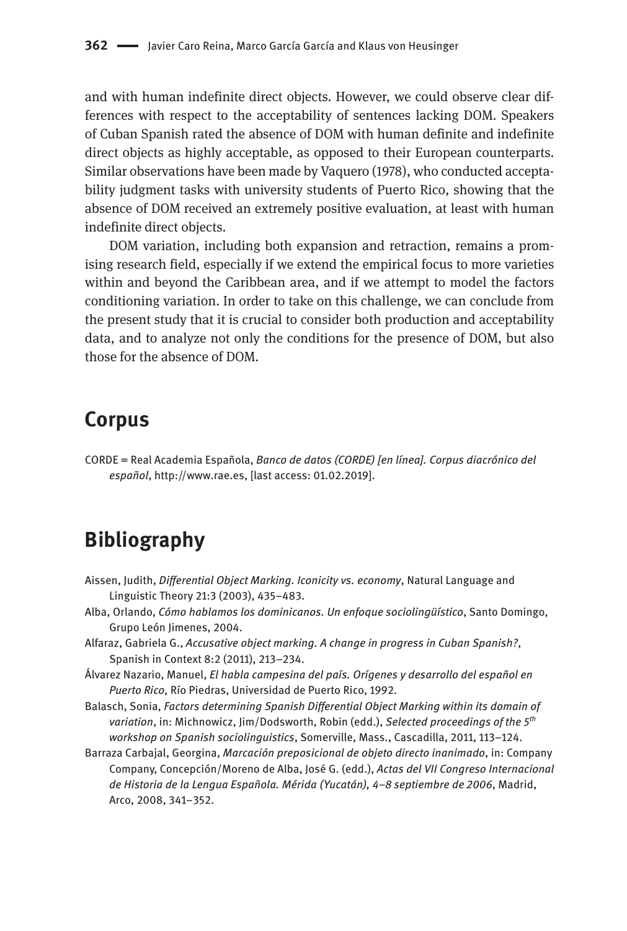and with human indefinite direct objects. However, we could observe clear differences with respect to the acceptability of sentences lacking DOM. Speakers of Cuban Spanish rated the absence of DOM with human definite and indefinite direct objects as highly acceptable, as opposed to their European counterparts. Similar observations have been made by Vaquero (1978), who conducted acceptability judgment tasks with university students of Puerto Rico, showing that the absence of DOM received an extremely positive evaluation, at least with human indefinite direct objects.

DOM variation, including both expansion and retraction, remains a promising research field, especially if we extend the empirical focus to more varieties within and beyond the Caribbean area, and if we attempt to model the factors conditioning variation. In order to take on this challenge, we can conclude from the present study that it is crucial to consider both production and acceptability data, and to analyze not only the conditions for the presence of DOM, but also those for the absence of DOM.

### **Corpus**

CORDE = Real Academia Española, *Banco de datos (CORDE) [en línea]. Corpus diacrónico del español*,<http://www.rae.es>, [last access: 01.02.2019].

# **Bibliography**

- Aissen, Judith, *Differential Object Marking. Iconicity vs. economy*, Natural Language and Linguistic Theory 21:3 (2003), 435–483.
- Alba, Orlando, *Cómo hablamos los dominicanos. Un enfoque sociolingüístico*, Santo Domingo, Grupo León Jimenes, 2004.
- Alfaraz, Gabriela G., *Accusative object marking. A change in progress in Cuban Spanish?*, Spanish in Context 8:2 (2011), 213–234.
- Álvarez Nazario, Manuel, *El habla campesina del país. Orígenes y desarrollo del español en Puerto Rico*, Río Piedras, Universidad de Puerto Rico, 1992.
- Balasch, Sonia, *Factors determining Spanish Differential Object Marking within its domain of variation*, in: Michnowicz, Jim/Dodsworth, Robin (edd.), *Selected proceedings of the 5th workshop on Spanish sociolinguistics*, Somerville, Mass., Cascadilla, 2011, 113–124.
- Barraza Carbajal, Georgina, *Marcación preposicional de objeto directo inanimado*, in: Company Company, Concepción/Moreno de Alba, José G. (edd.), *Actas del VII Congreso Internacional de Historia de la Lengua Española. Mérida (Yucatán), 4–8 septiembre de 2006*, Madrid, Arco, 2008, 341–352.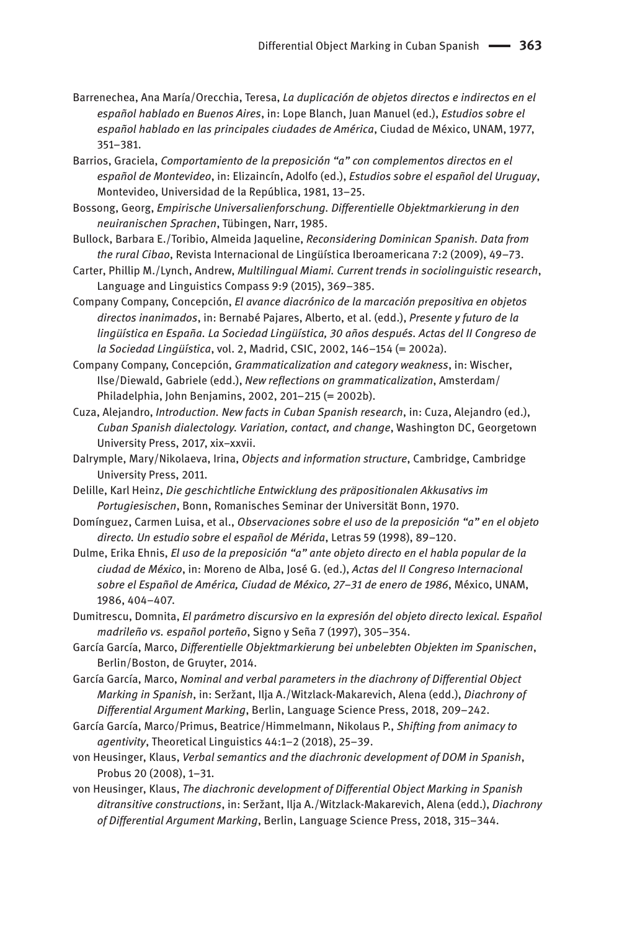- Barrenechea, Ana María/Orecchia, Teresa, *La duplicación de objetos directos e indirectos en el español hablado en Buenos Aires*, in: Lope Blanch, Juan Manuel (ed.), *Estudios sobre el español hablado en las principales ciudades de América*, Ciudad de México, UNAM, 1977, 351–381.
- Barrios, Graciela, *Comportamiento de la preposición "a" con complementos directos en el español de Montevideo*, in: Elizaincín, Adolfo (ed.), *Estudios sobre el español del Uruguay*, Montevideo, Universidad de la República, 1981, 13–25.
- Bossong, Georg, *Empirische Universalienforschung. Differentielle Objektmarkierung in den neuiranischen Sprachen*, Tübingen, Narr, 1985.
- Bullock, Barbara E./Toribio, Almeida Jaqueline, *Reconsidering Dominican Spanish. Data from the rural Cibao*, Revista Internacional de Lingüística Iberoamericana 7:2 (2009), 49–73.
- Carter, Phillip M./Lynch, Andrew, *Multilingual Miami. Current trends in sociolinguistic research*, Language and Linguistics Compass 9:9 (2015), 369–385.
- Company Company, Concepción, *El avance diacrónico de la marcación prepositiva en objetos directos inanimados*, in: Bernabé Pajares, Alberto, et al. (edd.), *Presente y futuro de la lingüística en España. La Sociedad Lingüística, 30 años después. Actas del II Congreso de la Sociedad Lingüística*, vol. 2, Madrid, CSIC, 2002, 146–154 (= 2002a).
- Company Company, Concepción, *Grammaticalization and category weakness*, in: Wischer, Ilse/Diewald, Gabriele (edd.), *New reflections on grammaticalization*, Amsterdam/ Philadelphia, John Benjamins, 2002, 201–215 (= 2002b).
- Cuza, Alejandro, *Introduction. New facts in Cuban Spanish research*, in: Cuza, Alejandro (ed.), *Cuban Spanish dialectology. Variation, contact, and change*, Washington DC, Georgetown University Press, 2017, xix-xxvii.
- Dalrymple, Mary/Nikolaeva, Irina, *Objects and information structure*, Cambridge, Cambridge University Press, 2011.
- Delille, Karl Heinz, *Die geschichtliche Entwicklung des präpositionalen Akkusativs im Portugiesischen*, Bonn, Romanisches Seminar der Universität Bonn, 1970.
- Domínguez, Carmen Luisa, et al., *Observaciones sobre el uso de la preposición "a" en el objeto directo. Un estudio sobre el español de Mérida*, Letras 59 (1998), 89–120.
- Dulme, Erika Ehnis, *El uso de la preposición "a" ante objeto directo en el habla popular de la ciudad de México*, in: Moreno de Alba, José G. (ed.), *Actas del II Congreso Internacional sobre el Español de América, Ciudad de México, 27‒31 de enero de 1986*, México, UNAM, 1986, 404–407.
- Dumitrescu, Domnita, *El parámetro discursivo en la expresión del objeto directo lexical. Español madrileño vs. español porteño*, Signo y Seña 7 (1997), 305–354.
- García García, Marco, *Differentielle Objektmarkierung bei unbelebten Objekten im Spanischen*, Berlin/Boston, de Gruyter, 2014.
- García García, Marco, *Nominal and verbal parameters in the diachrony of Differential Object Marking in Spanish*, in: Seržant, Ilja A./Witzlack-Makarevich, Alena (edd.), *Diachrony of Differential Argument Marking*, Berlin, Language Science Press, 2018, 209–242.
- García García, Marco/Primus, Beatrice/Himmelmann, Nikolaus P., *Shifting from animacy to agentivity*, Theoretical Linguistics 44:1–2 (2018), 25–39.
- von Heusinger, Klaus, *Verbal semantics and the diachronic development of DOM in Spanish*, Probus 20 (2008), 1–31.
- von Heusinger, Klaus, *The diachronic development of Differential Object Marking in Spanish ditransitive constructions*, in: Seržant, Ilja A./Witzlack-Makarevich, Alena (edd.), *Diachrony of Differential Argument Marking*, Berlin, Language Science Press, 2018, 315–344.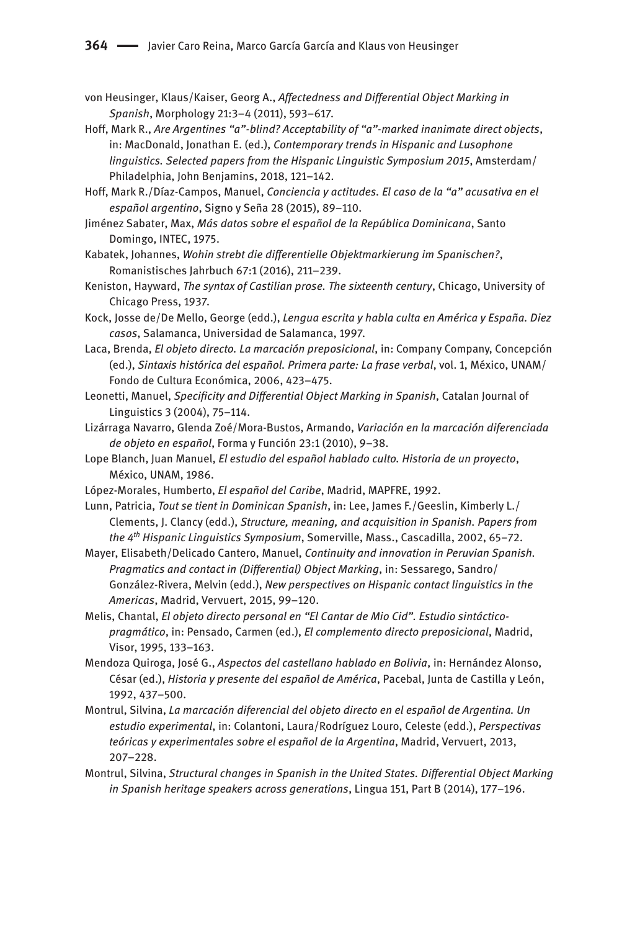- von Heusinger, Klaus/Kaiser, Georg A., *Affectedness and Differential Object Marking in Spanish*, Morphology 21:3–4 (2011), 593–617.
- Hoff, Mark R., *Are Argentines "a"-blind? Acceptability of "a"-marked inanimate direct objects*, in: MacDonald, Jonathan E. (ed.), *Contemporary trends in Hispanic and Lusophone linguistics. Selected papers from the Hispanic Linguistic Symposium 2015*, Amsterdam/ Philadelphia, John Benjamins, 2018, 121–142.
- Hoff, Mark R./Díaz-Campos, Manuel, *Conciencia y actitudes. El caso de la "a" acusativa en el español argentino*, Signo y Seña 28 (2015), 89–110.
- Jiménez Sabater, Max, *Más datos sobre el español de la República Dominicana*, Santo Domingo, INTEC, 1975.
- Kabatek, Johannes, *Wohin strebt die differentielle Objektmarkierung im Spanischen?*, Romanistisches Jahrbuch 67:1 (2016), 211–239.
- Keniston, Hayward, *The syntax of Castilian prose. The sixteenth century*, Chicago, University of Chicago Press, 1937.
- Kock, Josse de/De Mello, George (edd.), *Lengua escrita y habla culta en América y España. Diez casos*, Salamanca, Universidad de Salamanca, 1997.
- Laca, Brenda, *El objeto directo. La marcación preposicional*, in: Company Company, Concepción (ed.), *Sintaxis histórica del español. Primera parte: La frase verbal*, vol. 1, México, UNAM/ Fondo de Cultura Económica, 2006, 423–475.
- Leonetti, Manuel, *Specificity and Differential Object Marking in Spanish*, Catalan Journal of Linguistics 3 (2004), 75–114.
- Lizárraga Navarro, Glenda Zoé/Mora-Bustos, Armando, *Variación en la marcación diferenciada de objeto en español*, Forma y Función 23:1 (2010), 9–38.
- Lope Blanch, Juan Manuel, *El estudio del español hablado culto. Historia de un proyecto*, México, UNAM, 1986.
- López-Morales, Humberto, *El español del Caribe*, Madrid, MAPFRE, 1992.
- Lunn, Patricia, *Tout se tient in Dominican Spanish*, in: Lee, James F./Geeslin, Kimberly L./ Clements, J. Clancy (edd.), *Structure, meaning, and acquisition in Spanish. Papers from the 4<sup>th</sup> Hispanic Linguistics Symposium*, Somerville, Mass., Cascadilla, 2002, 65-72.
- Mayer, Elisabeth/Delicado Cantero, Manuel, *Continuity and innovation in Peruvian Spanish. Pragmatics and contact in (Differential) Object Marking*, in: Sessarego, Sandro/ González-Rivera, Melvin (edd.), *New perspectives on Hispanic contact linguistics in the Americas*, Madrid, Vervuert, 2015, 99–120.
- Melis, Chantal, *El objeto directo personal en "El Cantar de Mio Cid". Estudio sintácticopragmático*, in: Pensado, Carmen (ed.), *El complemento directo preposicional*, Madrid, Visor, 1995, 133–163.
- Mendoza Quiroga, José G., *Aspectos del castellano hablado en Bolivia*, in: Hernández Alonso, César (ed.), *Historia y presente del español de América*, Pacebal, Junta de Castilla y León, 1992, 437–500.
- Montrul, Silvina, *La marcación diferencial del objeto directo en el español de Argentina. Un estudio experimental*, in: Colantoni, Laura/Rodríguez Louro, Celeste (edd.), *Perspectivas teóricas y experimentales sobre el español de la Argentina*, Madrid, Vervuert, 2013, 207–228.
- Montrul, Silvina, *Structural changes in Spanish in the United States. Differential Object Marking in Spanish heritage speakers across generations*, Lingua 151, Part B (2014), 177–196.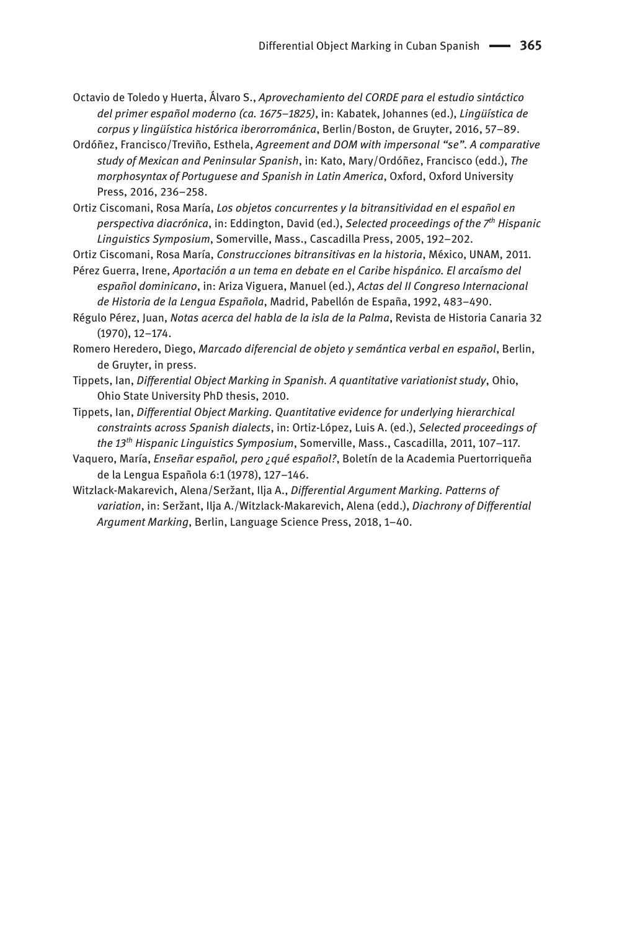- Octavio de Toledo y Huerta, Álvaro S., *Aprovechamiento del CORDE para el estudio sintáctico del primer español moderno (ca. 1675–1825)*, in: Kabatek, Johannes (ed.), *Lingüística de corpus y lingüística histórica iberorrománica*, Berlin/Boston, de Gruyter, 2016, 57–89.
- Ordóñez, Francisco/Treviño, Esthela, *Agreement and DOM with impersonal "se". A comparative study of Mexican and Peninsular Spanish*, in: Kato, Mary/Ordóñez, Francisco (edd.), *The morphosyntax of Portuguese and Spanish in Latin America*, Oxford, Oxford University Press, 2016, 236–258.
- Ortiz Ciscomani, Rosa María, *Los objetos concurrentes y la bitransitividad en el español en perspectiva diacrónica*, in: Eddington, David (ed.), *Selected proceedings of the 7th Hispanic Linguistics Symposium*, Somerville, Mass., Cascadilla Press, 2005, 192–202.

Ortiz Ciscomani, Rosa María, *Construcciones bitransitivas en la historia*, México, UNAM, 2011.

- Pérez Guerra, Irene, *Aportación a un tema en debate en el Caribe hispánico. El arcaísmo del español dominicano*, in: Ariza Viguera, Manuel (ed.), *Actas del II Congreso Internacional de Historia de la Lengua Española*, Madrid, Pabellón de España, 1992, 483–490.
- Régulo Pérez, Juan, *Notas acerca del habla de la isla de la Palma*, Revista de Historia Canaria 32 (1970), 12–174.
- Romero Heredero, Diego, *Marcado diferencial de objeto y semántica verbal en español*, Berlin, de Gruyter, in press.
- Tippets, Ian, *Differential Object Marking in Spanish. A quantitative variationist study*, Ohio, Ohio State University PhD thesis, 2010.
- Tippets, Ian, *Differential Object Marking. Quantitative evidence for underlying hierarchical constraints across Spanish dialects*, in: Ortiz-López, Luis A. (ed.), *Selected proceedings of the 13th Hispanic Linguistics Symposium*, Somerville, Mass., Cascadilla, 2011, 107–117.
- Vaquero, María, *Enseñar español, pero ¿qué español?*, Boletín de la Academia Puertorriqueña de la Lengua Española 6:1 (1978), 127–146.
- Witzlack-Makarevich, Alena/Seržant, Ilja A., *Differential Argument Marking. Patterns of variation*, in: Seržant, Ilja A./Witzlack-Makarevich, Alena (edd.), *Diachrony of Differential Argument Marking*, Berlin, Language Science Press, 2018, 1–40.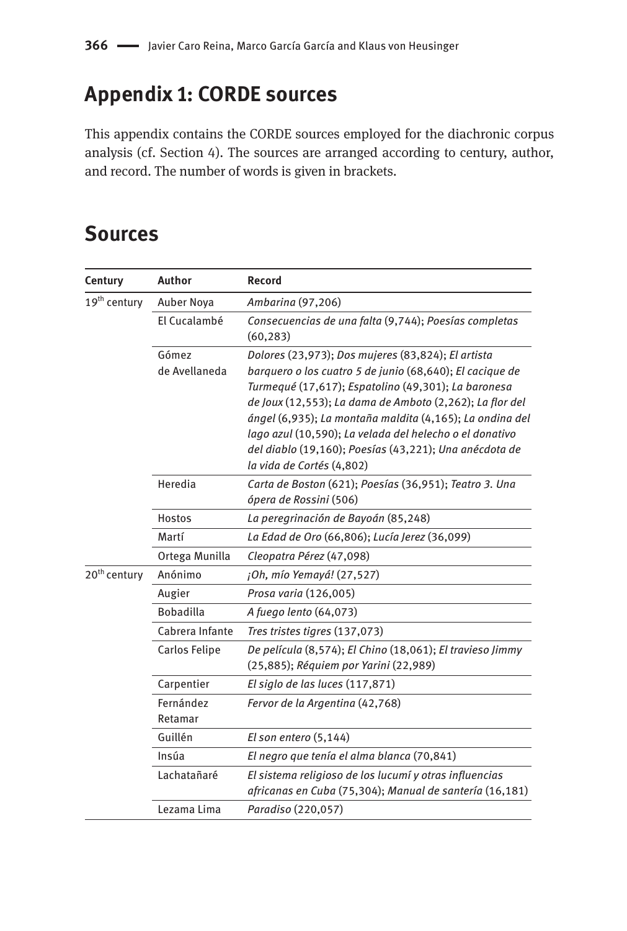# **Appendix 1: CORDE sources**

This appendix contains the CORDE sources employed for the diachronic corpus analysis (cf. Section 4). The sources are arranged according to century, author, and record. The number of words is given in brackets.

### **Sources**

| Century                  | Author                 | Record                                                                                                                                                                                                                                                                                                                                                                                                                                          |
|--------------------------|------------------------|-------------------------------------------------------------------------------------------------------------------------------------------------------------------------------------------------------------------------------------------------------------------------------------------------------------------------------------------------------------------------------------------------------------------------------------------------|
| 19 <sup>th</sup> century | Auber Noya             | Ambarina (97,206)                                                                                                                                                                                                                                                                                                                                                                                                                               |
|                          | El Cucalambé           | Consecuencias de una falta (9,744); Poesías completas<br>(60, 283)                                                                                                                                                                                                                                                                                                                                                                              |
|                          | Gómez<br>de Avellaneda | Dolores (23,973); Dos mujeres (83,824); El artista<br>barquero o los cuatro 5 de junio (68,640); El cacique de<br>Turmequé (17,617); Espatolino (49,301); La baronesa<br>de Joux (12,553); La dama de Amboto (2,262); La flor del<br>ángel (6,935); La montaña maldita (4,165); La ondina del<br>lago azul (10,590); La velada del helecho o el donativo<br>del diablo (19,160); Poesías (43,221); Una anécdota de<br>la vida de Cortés (4,802) |
|                          | Heredia                | Carta de Boston (621); Poesías (36,951); Teatro 3. Una<br>ópera de Rossini (506)                                                                                                                                                                                                                                                                                                                                                                |
|                          | <b>Hostos</b>          | La peregrinación de Bayoán (85,248)                                                                                                                                                                                                                                                                                                                                                                                                             |
|                          | Martí                  | La Edad de Oro (66,806); Lucía Jerez (36,099)                                                                                                                                                                                                                                                                                                                                                                                                   |
|                          | Ortega Munilla         | Cleopatra Pérez (47,098)                                                                                                                                                                                                                                                                                                                                                                                                                        |
| 20 <sup>th</sup> century | Anónimo                | ¡Oh, mío Yemayá! (27,527)                                                                                                                                                                                                                                                                                                                                                                                                                       |
|                          | Augier                 | Prosa varia (126,005)                                                                                                                                                                                                                                                                                                                                                                                                                           |
|                          | <b>Bobadilla</b>       | A fuego lento (64,073)                                                                                                                                                                                                                                                                                                                                                                                                                          |
|                          | Cabrera Infante        | Tres tristes tigres (137,073)                                                                                                                                                                                                                                                                                                                                                                                                                   |
|                          | Carlos Felipe          | De película (8,574); El Chino (18,061); El travieso Jimmy<br>(25,885); Réquiem por Yarini (22,989)                                                                                                                                                                                                                                                                                                                                              |
|                          | Carpentier             | El siglo de las luces (117,871)                                                                                                                                                                                                                                                                                                                                                                                                                 |
|                          | Fernández<br>Retamar   | Fervor de la Argentina (42,768)                                                                                                                                                                                                                                                                                                                                                                                                                 |
|                          | Guillén                | El son entero $(5, 144)$                                                                                                                                                                                                                                                                                                                                                                                                                        |
|                          | Insúa                  | El negro que tenía el alma blanca (70,841)                                                                                                                                                                                                                                                                                                                                                                                                      |
|                          | Lachatañaré            | El sistema religioso de los lucumí y otras influencias<br>africanas en Cuba (75,304); Manual de santería (16,181)                                                                                                                                                                                                                                                                                                                               |
|                          | Lezama Lima            | Paradiso (220,057)                                                                                                                                                                                                                                                                                                                                                                                                                              |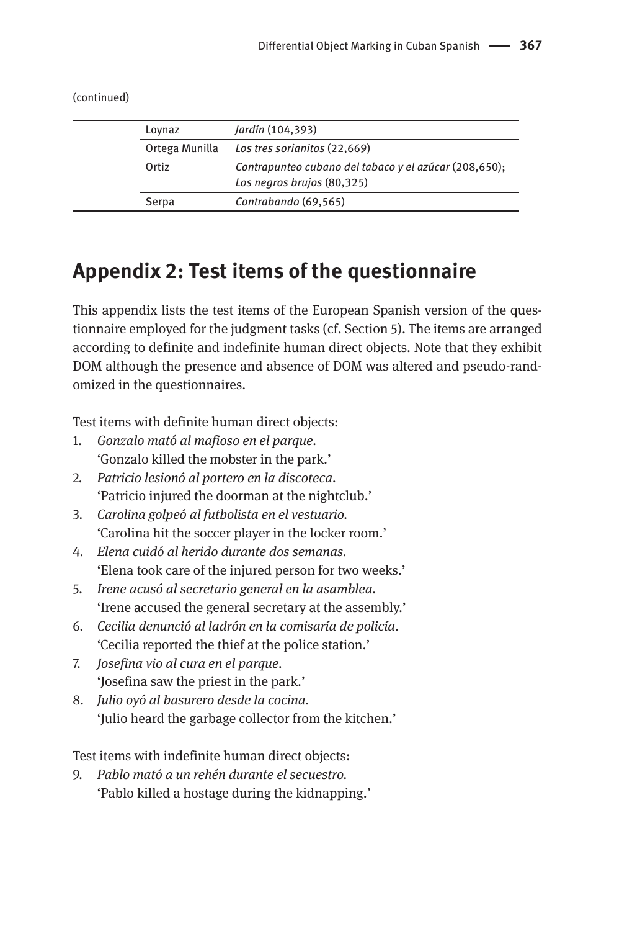| Loynaz         | Jardín (104,393)                                      |
|----------------|-------------------------------------------------------|
| Ortega Munilla | Los tres sorianitos (22,669)                          |
| Ortiz          | Contrapunteo cubano del tabaco y el azúcar (208,650); |
|                | Los negros brujos (80,325)                            |
| Serpa          | Contrabando (69,565)                                  |

(continued)

### **Appendix 2: Test items of the questionnaire**

This appendix lists the test items of the European Spanish version of the questionnaire employed for the judgment tasks (cf. Section 5). The items are arranged according to definite and indefinite human direct objects. Note that they exhibit DOM although the presence and absence of DOM was altered and pseudo-randomized in the questionnaires.

Test items with definite human direct objects:

- 1. *Gonzalo mató al mafioso en el parque.* 'Gonzalo killed the mobster in the park.'
- 2*. Patricio lesionó al portero en la discoteca.* 'Patricio injured the doorman at the nightclub.'
- 3*. Carolina golpeó al futbolista en el vestuario.* 'Carolina hit the soccer player in the locker room.'
- 4*. Elena cuidó al herido durante dos semanas.* 'Elena took care of the injured person for two weeks.'
- 5. *Irene acusó al secretario general en la asamblea.* 'Irene accused the general secretary at the assembly.'
- 6. *Cecilia denunció al ladrón en la comisaría de policía.* 'Cecilia reported the thief at the police station.'
- 7. *Josefina vio al cura en el parque.* 'Josefina saw the priest in the park.'
- 8. *Julio oyó al basurero desde la cocina.* 'Julio heard the garbage collector from the kitchen.'

Test items with indefinite human direct objects:

9. *Pablo mató a un rehén durante el secuestro.* 'Pablo killed a hostage during the kidnapping.'